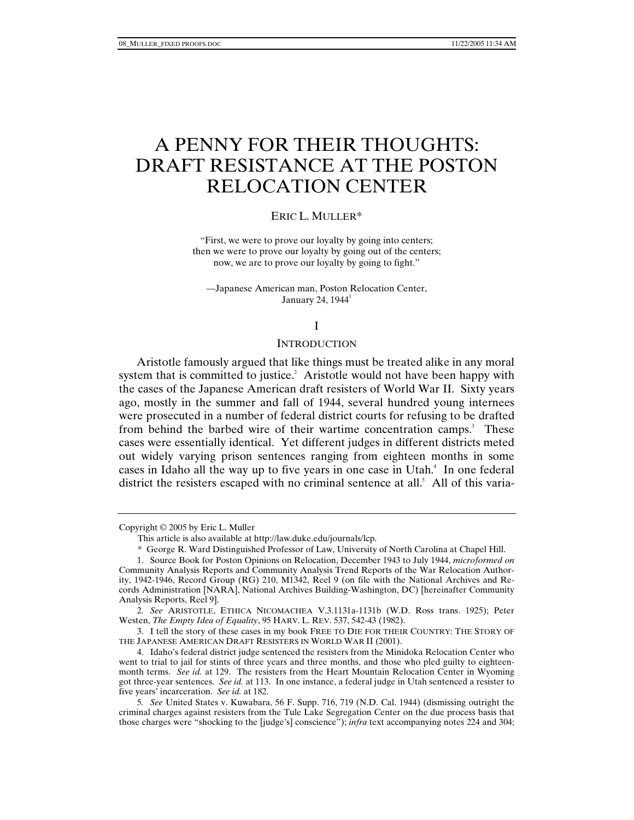# A PENNY FOR THEIR THOUGHTS: DRAFT RESISTANCE AT THE POSTON RELOCATION CENTER

## ERIC L. MULLER\*

"First, we were to prove our loyalty by going into centers; then we were to prove our loyalty by going out of the centers; now, we are to prove our loyalty by going to fight."

—Japanese American man, Poston Relocation Center, January 24,  $1944<sup>1</sup>$ 

#### I

### **INTRODUCTION**

Aristotle famously argued that like things must be treated alike in any moral system that is committed to justice.<sup>2</sup> Aristotle would not have been happy with the cases of the Japanese American draft resisters of World War II. Sixty years ago, mostly in the summer and fall of 1944, several hundred young internees were prosecuted in a number of federal district courts for refusing to be drafted from behind the barbed wire of their wartime concentration camps.<sup>3</sup> These cases were essentially identical. Yet different judges in different districts meted out widely varying prison sentences ranging from eighteen months in some cases in Idaho all the way up to five years in one case in Utah.<sup>4</sup> In one federal district the resisters escaped with no criminal sentence at all.<sup>5</sup> All of this varia-

Copyright © 2005 by Eric L. Muller

 This article is also available at http://law.duke.edu/journals/lcp. Analysis Reports, Reel 9]. 2*. See* A

RISTOTLE, ETHICA NICOMACHEA V.3.1131a-1131b (W.D. Ross trans. 1925); Peter Westen, *The Empty Idea of Equality*, 95 HARV. L. REV. 537, 542-43 (1982).

 3. I tell the story of these cases in my book FREE TO DIE FOR THEIR COUNTRY: THE STORY OF THE JAPANESE AMERICAN DRAFT RESISTERS IN WORLD WAR II (2001).

 4. Idaho's federal district judge sentenced the resisters from the Minidoka Relocation Center who went to trial to jail for stints of three years and three months, and those who pled guilty to eighteenmonth terms. *See id.* at 129. The resisters from the Heart Mountain Relocation Center in Wyoming got three-year sentences. *See id.* at 113. In one instance, a federal judge in Utah sentenced a resister to five years' incarceration. *See id.* at 182.

5*. See* United States v. Kuwabara, 56 F. Supp. 716, 719 (N.D. Cal. 1944) (dismissing outright the criminal charges against resisters from the Tule Lake Segregation Center on the due process basis that those charges were "shocking to the [judge's] conscience"); *infra* text accompanying notes 224 and 304;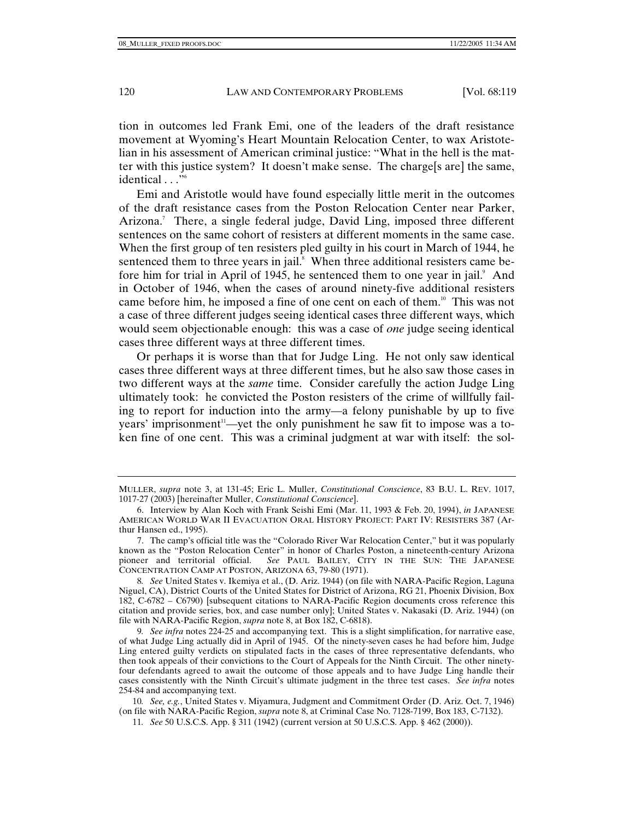tion in outcomes led Frank Emi, one of the leaders of the draft resistance movement at Wyoming's Heart Mountain Relocation Center, to wax Aristotelian in his assessment of American criminal justice: "What in the hell is the matter with this justice system? It doesn't make sense. The charge[s are] the same, identical . . ."<sup>6</sup>

Emi and Aristotle would have found especially little merit in the outcomes of the draft resistance cases from the Poston Relocation Center near Parker, Arizona.<sup>7</sup> There, a single federal judge, David Ling, imposed three different sentences on the same cohort of resisters at different moments in the same case. When the first group of ten resisters pled guilty in his court in March of 1944, he sentenced them to three years in jail. $\delta$  When three additional resisters came before him for trial in April of 1945, he sentenced them to one year in jail.<sup>9</sup> And in October of 1946, when the cases of around ninety-five additional resisters came before him, he imposed a fine of one cent on each of them.<sup>10</sup> This was not a case of three different judges seeing identical cases three different ways, which would seem objectionable enough: this was a case of *one* judge seeing identical cases three different ways at three different times.

Or perhaps it is worse than that for Judge Ling. He not only saw identical cases three different ways at three different times, but he also saw those cases in two different ways at the *same* time. Consider carefully the action Judge Ling ultimately took: he convicted the Poston resisters of the crime of willfully failing to report for induction into the army—a felony punishable by up to five years' imprisonment<sup>11</sup>—yet the only punishment he saw fit to impose was a token fine of one cent. This was a criminal judgment at war with itself: the sol-

10*. See, e.g.*, United States v. Miyamura, Judgment and Commitment Order (D. Ariz. Oct. 7, 1946) (on file with NARA-Pacific Region, *supra* note 8, at Criminal Case No. 7128-7199, Box 183, C-7132).

MULLER, *supra* note 3, at 131-45; Eric L. Muller, *Constitutional Conscience*, 83 B.U. L. REV. 1017, 1017-27 (2003) [hereinafter Muller, *Constitutional Conscience*].

 <sup>6.</sup> Interview by Alan Koch with Frank Seishi Emi (Mar. 11, 1993 & Feb. 20, 1994), *in* JAPANESE AMERICAN WORLD WAR II EVACUATION ORAL HISTORY PROJECT: PART IV: RESISTERS 387 (Arthur Hansen ed., 1995).

 <sup>7.</sup> The camp's official title was the "Colorado River War Relocation Center," but it was popularly known as the "Poston Relocation Center" in honor of Charles Poston, a nineteenth-century Arizona<br>pioneer and territorial official. See PAUL BAILEY, CITY IN THE SUN: THE JAPANESE See PAUL BAILEY, CITY IN THE SUN: THE JAPANESE CONCENTRATION CAMP AT POSTON, ARIZONA 63, 79-80 (1971).

<sup>8</sup>*. See* United States v. Ikemiya et al., (D. Ariz. 1944) (on file with NARA-Pacific Region, Laguna Niguel, CA), District Courts of the United States for District of Arizona, RG 21, Phoenix Division, Box 182, C-6782 – C6790) [subsequent citations to NARA-Pacific Region documents cross reference this citation and provide series, box, and case number only]; United States v. Nakasaki (D. Ariz. 1944) (on file with NARA-Pacific Region, *supra* note 8, at Box 182, C-6818).

<sup>9</sup>*. See infra* notes 224-25 and accompanying text. This is a slight simplification, for narrative ease, of what Judge Ling actually did in April of 1945. Of the ninety-seven cases he had before him, Judge Ling entered guilty verdicts on stipulated facts in the cases of three representative defendants, who then took appeals of their convictions to the Court of Appeals for the Ninth Circuit. The other ninetyfour defendants agreed to await the outcome of those appeals and to have Judge Ling handle their cases consistently with the Ninth Circuit's ultimate judgment in the three test cases. *See infra* notes 254-84 and accompanying text.

<sup>11</sup>*. See* 50 U.S.C.S. App. § 311 (1942) (current version at 50 U.S.C.S. App. § 462 (2000)).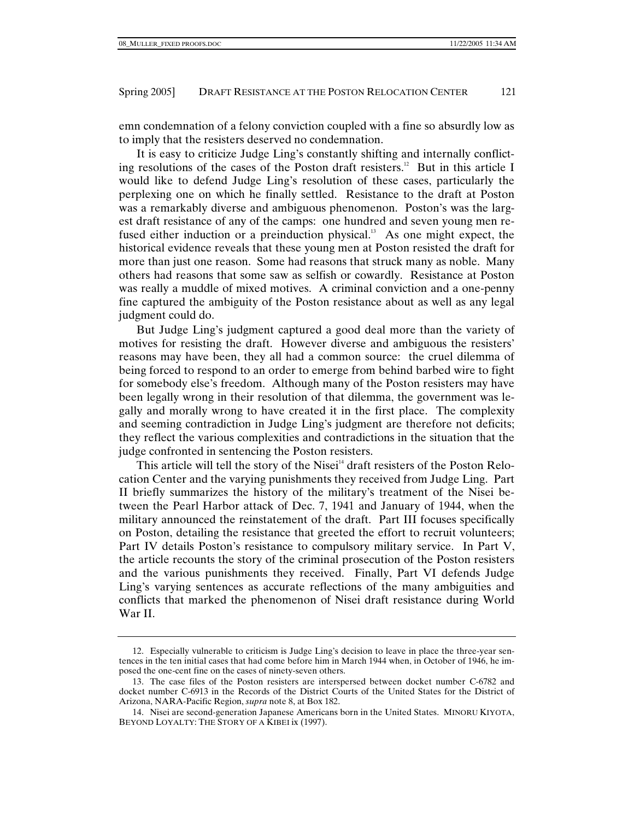emn condemnation of a felony conviction coupled with a fine so absurdly low as to imply that the resisters deserved no condemnation.

It is easy to criticize Judge Ling's constantly shifting and internally conflicting resolutions of the cases of the Poston draft resisters.<sup>12</sup> But in this article I would like to defend Judge Ling's resolution of these cases, particularly the perplexing one on which he finally settled. Resistance to the draft at Poston was a remarkably diverse and ambiguous phenomenon. Poston's was the largest draft resistance of any of the camps: one hundred and seven young men refused either induction or a preinduction physical.<sup>13</sup> As one might expect, the historical evidence reveals that these young men at Poston resisted the draft for more than just one reason. Some had reasons that struck many as noble. Many others had reasons that some saw as selfish or cowardly. Resistance at Poston was really a muddle of mixed motives. A criminal conviction and a one-penny fine captured the ambiguity of the Poston resistance about as well as any legal judgment could do.

But Judge Ling's judgment captured a good deal more than the variety of motives for resisting the draft. However diverse and ambiguous the resisters' reasons may have been, they all had a common source: the cruel dilemma of being forced to respond to an order to emerge from behind barbed wire to fight for somebody else's freedom. Although many of the Poston resisters may have been legally wrong in their resolution of that dilemma, the government was legally and morally wrong to have created it in the first place. The complexity and seeming contradiction in Judge Ling's judgment are therefore not deficits; they reflect the various complexities and contradictions in the situation that the judge confronted in sentencing the Poston resisters.

This article will tell the story of the Nisei<sup>14</sup> draft resisters of the Poston Relocation Center and the varying punishments they received from Judge Ling. Part II briefly summarizes the history of the military's treatment of the Nisei between the Pearl Harbor attack of Dec. 7, 1941 and January of 1944, when the military announced the reinstatement of the draft. Part III focuses specifically on Poston, detailing the resistance that greeted the effort to recruit volunteers; Part IV details Poston's resistance to compulsory military service. In Part V, the article recounts the story of the criminal prosecution of the Poston resisters and the various punishments they received. Finally, Part VI defends Judge Ling's varying sentences as accurate reflections of the many ambiguities and conflicts that marked the phenomenon of Nisei draft resistance during World War II.

 <sup>12.</sup> Especially vulnerable to criticism is Judge Ling's decision to leave in place the three-year sentences in the ten initial cases that had come before him in March 1944 when, in October of 1946, he imposed the one-cent fine on the cases of ninety-seven others.

 <sup>13.</sup> The case files of the Poston resisters are interspersed between docket number C-6782 and docket number C-6913 in the Records of the District Courts of the United States for the District of Arizona, NARA-Pacific Region, *supra* note 8, at Box 182.

 <sup>14.</sup> Nisei are second-generation Japanese Americans born in the United States. MINORU KIYOTA, BEYOND LOYALTY: THE STORY OF A KIBEI ix (1997).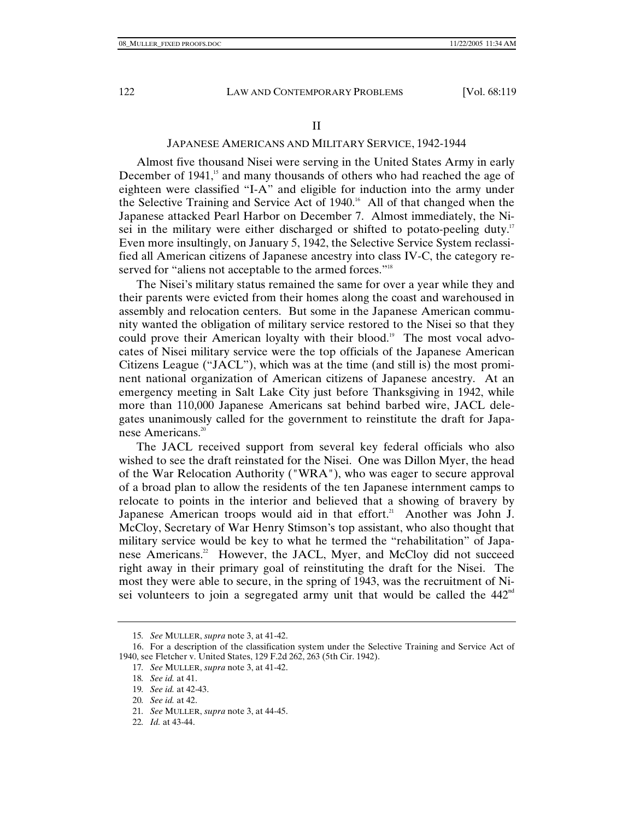## II

## JAPANESE AMERICANS AND MILITARY SERVICE, 1942-1944

Almost five thousand Nisei were serving in the United States Army in early December of 1941,<sup>15</sup> and many thousands of others who had reached the age of eighteen were classified "I-A" and eligible for induction into the army under the Selective Training and Service Act of 1940.<sup>16</sup> All of that changed when the Japanese attacked Pearl Harbor on December 7. Almost immediately, the Nisei in the military were either discharged or shifted to potato-peeling duty.<sup>17</sup> Even more insultingly, on January 5, 1942, the Selective Service System reclassified all American citizens of Japanese ancestry into class IV-C, the category reserved for "aliens not acceptable to the armed forces."<sup>18</sup>

The Nisei's military status remained the same for over a year while they and their parents were evicted from their homes along the coast and warehoused in assembly and relocation centers. But some in the Japanese American community wanted the obligation of military service restored to the Nisei so that they could prove their American loyalty with their blood.<sup>19</sup> The most vocal advocates of Nisei military service were the top officials of the Japanese American Citizens League ("JACL"), which was at the time (and still is) the most prominent national organization of American citizens of Japanese ancestry. At an emergency meeting in Salt Lake City just before Thanksgiving in 1942, while more than 110,000 Japanese Americans sat behind barbed wire, JACL delegates unanimously called for the government to reinstitute the draft for Japanese Americans.<sup>20</sup>

The JACL received support from several key federal officials who also wished to see the draft reinstated for the Nisei. One was Dillon Myer, the head of the War Relocation Authority ("WRA"), who was eager to secure approval of a broad plan to allow the residents of the ten Japanese internment camps to relocate to points in the interior and believed that a showing of bravery by Japanese American troops would aid in that effort.<sup>21</sup> Another was John J. McCloy, Secretary of War Henry Stimson's top assistant, who also thought that military service would be key to what he termed the "rehabilitation" of Japanese Americans.<sup>22</sup> However, the JACL, Myer, and McCloy did not succeed right away in their primary goal of reinstituting the draft for the Nisei. The most they were able to secure, in the spring of 1943, was the recruitment of Nisei volunteers to join a segregated army unit that would be called the  $442<sup>nd</sup>$ 

22*. Id.* at 43-44.

<sup>15</sup>*. See* MULLER, *supra* note 3, at 41-42.

 <sup>16.</sup> For a description of the classification system under the Selective Training and Service Act of 1940, see Fletcher v. United States, 129 F.2d 262, 263 (5th Cir. 1942).

<sup>17</sup>*. See* MULLER, *supra* note 3, at 41-42.

<sup>18</sup>*. See id.* at 41.

<sup>19</sup>*. See id.* at 42-43.

<sup>20</sup>*. See id.* at 42.

<sup>21</sup>*. See* MULLER, *supra* note 3, at 44-45.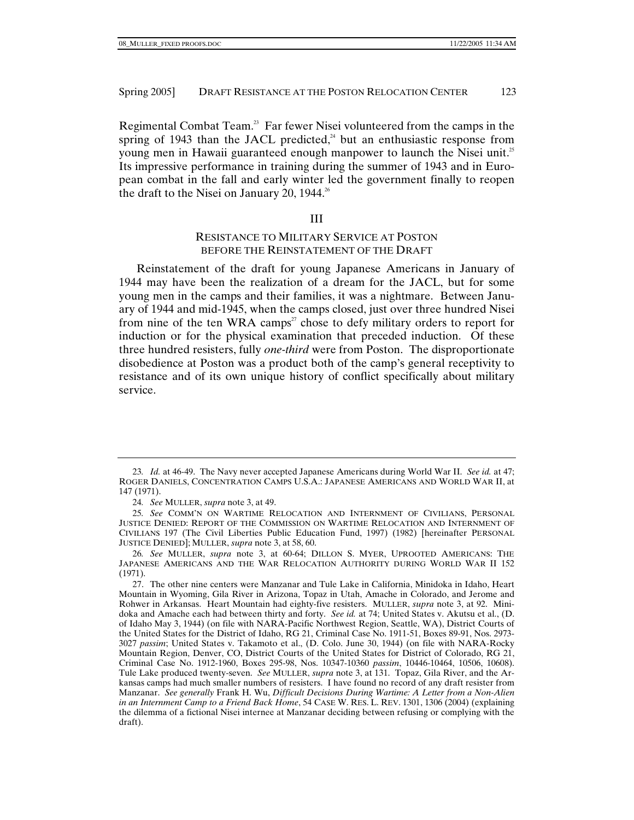Regimental Combat Team.<sup>23</sup> Far fewer Nisei volunteered from the camps in the spring of 1943 than the JACL predicted, $44$  but an enthusiastic response from young men in Hawaii guaranteed enough manpower to launch the Nisei unit.<sup>25</sup> Its impressive performance in training during the summer of 1943 and in European combat in the fall and early winter led the government finally to reopen the draft to the Nisei on January 20, 1944.<sup>26</sup>

#### III

# RESISTANCE TO MILITARY SERVICE AT POSTON BEFORE THE REINSTATEMENT OF THE DRAFT

Reinstatement of the draft for young Japanese Americans in January of 1944 may have been the realization of a dream for the JACL, but for some young men in the camps and their families, it was a nightmare. Between January of 1944 and mid-1945, when the camps closed, just over three hundred Nisei from nine of the ten WRA camps<sup>27</sup> chose to defy military orders to report for induction or for the physical examination that preceded induction. Of these three hundred resisters, fully *one-third* were from Poston. The disproportionate disobedience at Poston was a product both of the camp's general receptivity to resistance and of its own unique history of conflict specifically about military service.

<sup>23</sup>*. Id.* at 46-49. The Navy never accepted Japanese Americans during World War II. *See id.* at 47; ROGER DANIELS, CONCENTRATION CAMPS U.S.A.: JAPANESE AMERICANS AND WORLD WAR II, at 147 (1971).

<sup>24</sup>*. See* MULLER, *supra* note 3, at 49.

<sup>25</sup>*. See* COMM'N ON WARTIME RELOCATION AND INTERNMENT OF CIVILIANS, PERSONAL JUSTICE DENIED: REPORT OF THE COMMISSION ON WARTIME RELOCATION AND INTERNMENT OF CIVILIANS 197 (The Civil Liberties Public Education Fund, 1997) (1982) [hereinafter PERSONAL JUSTICE DENIED]; MULLER, *supra* note 3, at 58, 60.

<sup>26</sup>*. See* MULLER, *supra* note 3, at 60-64; DILLON S. MYER, UPROOTED AMERICANS: THE JAPANESE AMERICANS AND THE WAR RELOCATION AUTHORITY DURING WORLD WAR II 152 (1971).

 <sup>27.</sup> The other nine centers were Manzanar and Tule Lake in California, Minidoka in Idaho, Heart Mountain in Wyoming, Gila River in Arizona, Topaz in Utah, Amache in Colorado, and Jerome and Rohwer in Arkansas. Heart Mountain had eighty-five resisters. MULLER, *supra* note 3, at 92. Minidoka and Amache each had between thirty and forty. *See id.* at 74; United States v. Akutsu et al., (D. of Idaho May 3, 1944) (on file with NARA-Pacific Northwest Region, Seattle, WA), District Courts of the United States for the District of Idaho, RG 21, Criminal Case No. 1911-51, Boxes 89-91, Nos. 2973- 3027 *passim*; United States v. Takamoto et al., (D. Colo. June 30, 1944) (on file with NARA-Rocky Mountain Region, Denver, CO, District Courts of the United States for District of Colorado, RG 21, Criminal Case No. 1912-1960, Boxes 295-98, Nos. 10347-10360 *passim*, 10446-10464, 10506, 10608). Tule Lake produced twenty-seven. *See* MULLER, *supra* note 3, at 131. Topaz, Gila River, and the Arkansas camps had much smaller numbers of resisters. I have found no record of any draft resister from Manzanar. *See generally* Frank H. Wu, *Difficult Decisions During Wartime: A Letter from a Non-Alien in an Internment Camp to a Friend Back Home*, 54 CASE W. RES. L. REV. 1301, 1306 (2004) (explaining the dilemma of a fictional Nisei internee at Manzanar deciding between refusing or complying with the draft).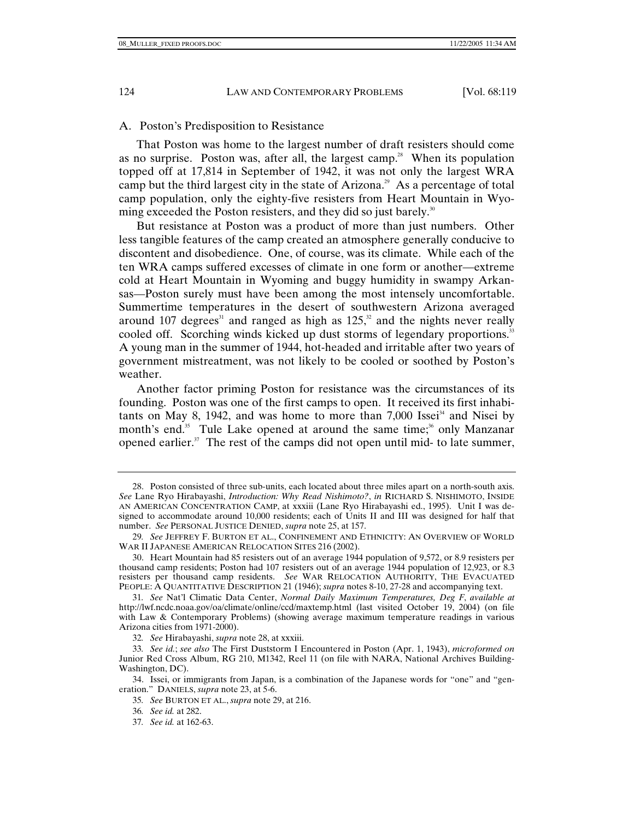## A. Poston's Predisposition to Resistance

That Poston was home to the largest number of draft resisters should come as no surprise. Poston was, after all, the largest camp.<sup>28</sup> When its population topped off at 17,814 in September of 1942, it was not only the largest WRA camp but the third largest city in the state of Arizona.<sup>29</sup> As a percentage of total camp population, only the eighty-five resisters from Heart Mountain in Wyoming exceeded the Poston resisters, and they did so just barely.<sup>30</sup>

But resistance at Poston was a product of more than just numbers. Other less tangible features of the camp created an atmosphere generally conducive to discontent and disobedience. One, of course, was its climate. While each of the ten WRA camps suffered excesses of climate in one form or another—extreme cold at Heart Mountain in Wyoming and buggy humidity in swampy Arkansas—Poston surely must have been among the most intensely uncomfortable. Summertime temperatures in the desert of southwestern Arizona averaged around 107 degrees<sup>31</sup> and ranged as high as  $125$ ,<sup>32</sup> and the nights never really cooled off. Scorching winds kicked up dust storms of legendary proportions.<sup>33</sup> A young man in the summer of 1944, hot-headed and irritable after two years of government mistreatment, was not likely to be cooled or soothed by Poston's weather.

Another factor priming Poston for resistance was the circumstances of its founding. Poston was one of the first camps to open. It received its first inhabitants on May 8, 1942, and was home to more than  $7,000$  Issei<sup>34</sup> and Nisei by month's end.<sup>35</sup> Tule Lake opened at around the same time;<sup>36</sup> only Manzanar opened earlier.<sup>37</sup> The rest of the camps did not open until mid- to late summer,

37*. See id.* at 162-63.

 <sup>28.</sup> Poston consisted of three sub-units, each located about three miles apart on a north-south axis. *See* Lane Ryo Hirabayashi, *Introduction: Why Read Nishimoto?*, *in* RICHARD S. NISHIMOTO, INSIDE AN AMERICAN CONCENTRATION CAMP, at xxxiii (Lane Ryo Hirabayashi ed., 1995). Unit I was designed to accommodate around 10,000 residents; each of Units II and III was designed for half that number. *See* PERSONAL JUSTICE DENIED, *supra* note 25, at 157.

<sup>29</sup>*. See* JEFFREY F. BURTON ET AL., CONFINEMENT AND ETHNICITY: AN OVERVIEW OF WORLD WAR II JAPANESE AMERICAN RELOCATION SITES 216 (2002).

 <sup>30.</sup> Heart Mountain had 85 resisters out of an average 1944 population of 9,572, or 8.9 resisters per thousand camp residents; Poston had 107 resisters out of an average 1944 population of 12,923, or 8.3 resisters per thousand camp residents. *See* WAR RELOCATION AUTHORITY, THE EVACUATED PEOPLE: A QUANTITATIVE DESCRIPTION 21 (1946); *supra* notes 8-10, 27-28 and accompanying text.

<sup>31</sup>*. See* Nat'l Climatic Data Center, *Normal Daily Maximum Temperatures, Deg F*, *available at*  http://lwf.ncdc.noaa.gov/oa/climate/online/ccd/maxtemp.html (last visited October 19, 2004) (on file with Law & Contemporary Problems) (showing average maximum temperature readings in various Arizona cities from 1971-2000).

<sup>32</sup>*. See* Hirabayashi, *supra* note 28, at xxxiii.

<sup>33</sup>*. See id.*; *see also* The First Duststorm I Encountered in Poston (Apr. 1, 1943), *microformed on* Junior Red Cross Album, RG 210, M1342, Reel 11 (on file with NARA, National Archives Building-Washington, DC).

 <sup>34.</sup> Issei, or immigrants from Japan, is a combination of the Japanese words for "one" and "generation." DANIELS, *supra* note 23, at 5-6.

<sup>35</sup>*. See* BURTON ET AL., *supra* note 29, at 216.

<sup>36</sup>*. See id.* at 282.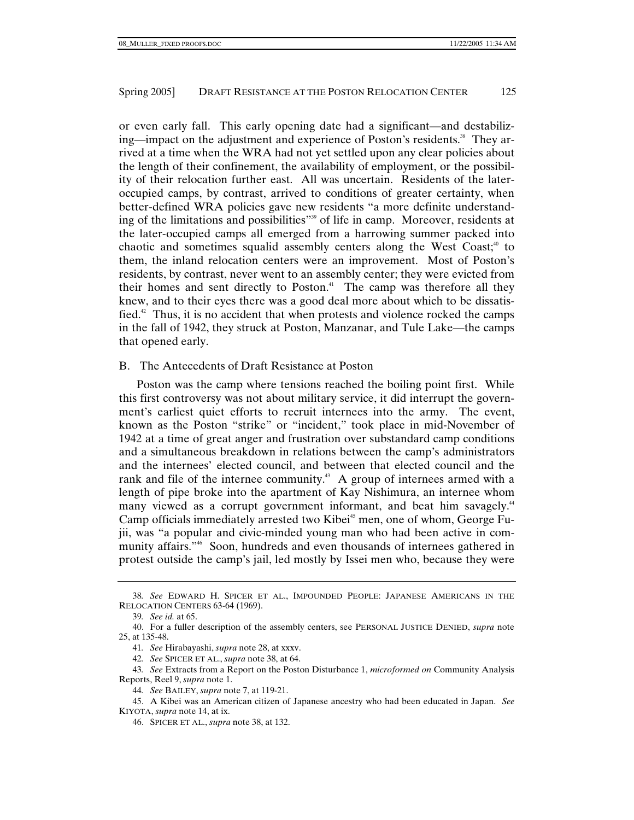or even early fall. This early opening date had a significant—and destabilizing—impact on the adjustment and experience of Poston's residents.<sup>38</sup> They arrived at a time when the WRA had not yet settled upon any clear policies about the length of their confinement, the availability of employment, or the possibility of their relocation further east. All was uncertain. Residents of the lateroccupied camps, by contrast, arrived to conditions of greater certainty, when better-defined WRA policies gave new residents "a more definite understanding of the limitations and possibilities"<sup>39</sup> of life in camp. Moreover, residents at the later-occupied camps all emerged from a harrowing summer packed into chaotic and sometimes squalid assembly centers along the West Coast; $40^{\circ}$  to them, the inland relocation centers were an improvement. Most of Poston's residents, by contrast, never went to an assembly center; they were evicted from their homes and sent directly to Poston.<sup>41</sup> The camp was therefore all they knew, and to their eyes there was a good deal more about which to be dissatisfied.<sup>42</sup> Thus, it is no accident that when protests and violence rocked the camps in the fall of 1942, they struck at Poston, Manzanar, and Tule Lake—the camps that opened early.

## B. The Antecedents of Draft Resistance at Poston

Poston was the camp where tensions reached the boiling point first. While this first controversy was not about military service, it did interrupt the government's earliest quiet efforts to recruit internees into the army. The event, known as the Poston "strike" or "incident," took place in mid-November of 1942 at a time of great anger and frustration over substandard camp conditions and a simultaneous breakdown in relations between the camp's administrators and the internees' elected council, and between that elected council and the rank and file of the internee community.<sup>43</sup> A group of internees armed with a length of pipe broke into the apartment of Kay Nishimura, an internee whom many viewed as a corrupt government informant, and beat him savagely.<sup>44</sup> Camp officials immediately arrested two Kibei<sup>45</sup> men, one of whom, George Fujii, was "a popular and civic-minded young man who had been active in community affairs."46 Soon, hundreds and even thousands of internees gathered in protest outside the camp's jail, led mostly by Issei men who, because they were

<sup>38</sup>*. See* EDWARD H. SPICER ET AL., IMPOUNDED PEOPLE: JAPANESE AMERICANS IN THE RELOCATION CENTERS 63-64 (1969).

<sup>39</sup>*. See id.* at 65.

 <sup>40.</sup> For a fuller description of the assembly centers, see PERSONAL JUSTICE DENIED, *supra* note 25, at 135-48.

<sup>41</sup>*. See* Hirabayashi, *supra* note 28, at xxxv.

<sup>42</sup>*. See* SPICER ET AL., *supra* note 38, at 64.

<sup>43</sup>*. See* Extracts from a Report on the Poston Disturbance 1, *microformed on* Community Analysis Reports, Reel 9, *supra* note 1.

<sup>44</sup>*. See* BAILEY, *supra* note 7, at 119-21.

 <sup>45.</sup> A Kibei was an American citizen of Japanese ancestry who had been educated in Japan. *See* KIYOTA, *supra* note 14, at ix.

 <sup>46.</sup> SPICER ET AL., *supra* note 38, at 132.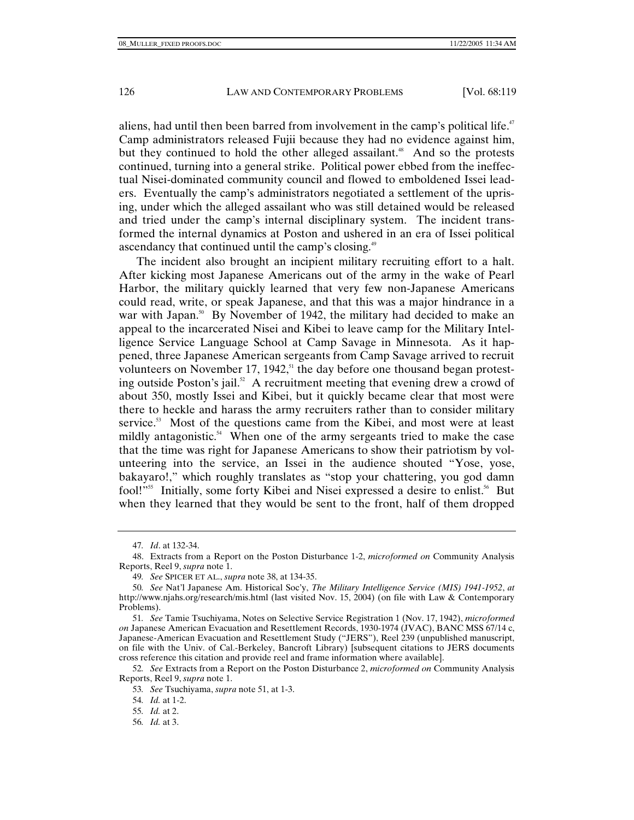aliens, had until then been barred from involvement in the camp's political life.<sup>47</sup> Camp administrators released Fujii because they had no evidence against him, but they continued to hold the other alleged assailant.<sup>48</sup> And so the protests continued, turning into a general strike. Political power ebbed from the ineffectual Nisei-dominated community council and flowed to emboldened Issei leaders. Eventually the camp's administrators negotiated a settlement of the uprising, under which the alleged assailant who was still detained would be released and tried under the camp's internal disciplinary system. The incident transformed the internal dynamics at Poston and ushered in an era of Issei political ascendancy that continued until the camp's closing.<sup>49</sup>

The incident also brought an incipient military recruiting effort to a halt. After kicking most Japanese Americans out of the army in the wake of Pearl Harbor, the military quickly learned that very few non-Japanese Americans could read, write, or speak Japanese, and that this was a major hindrance in a war with Japan.<sup>50</sup> By November of 1942, the military had decided to make an appeal to the incarcerated Nisei and Kibei to leave camp for the Military Intelligence Service Language School at Camp Savage in Minnesota. As it happened, three Japanese American sergeants from Camp Savage arrived to recruit volunteers on November 17, 1942,<sup>51</sup> the day before one thousand began protesting outside Poston's jail.<sup>52</sup> A recruitment meeting that evening drew a crowd of about 350, mostly Issei and Kibei, but it quickly became clear that most were there to heckle and harass the army recruiters rather than to consider military service. $53$  Most of the questions came from the Kibei, and most were at least mildly antagonistic.<sup>54</sup> When one of the army sergeants tried to make the case that the time was right for Japanese Americans to show their patriotism by volunteering into the service, an Issei in the audience shouted "Yose, yose, bakayaro!," which roughly translates as "stop your chattering, you god damn fool!"<sup>55</sup> Initially, some forty Kibei and Nisei expressed a desire to enlist.<sup>56</sup> But when they learned that they would be sent to the front, half of them dropped

<sup>47</sup>*. Id*. at 132-34.

 <sup>48.</sup> Extracts from a Report on the Poston Disturbance 1-2, *microformed on* Community Analysis Reports, Reel 9, *supra* note 1.

<sup>49</sup>*. See* SPICER ET AL., *supra* note 38, at 134-35.

<sup>50</sup>*. See* Nat'l Japanese Am. Historical Soc'y, *The Military Intelligence Service (MIS) 1941-1952*, *at* http://www.njahs.org/research/mis.html (last visited Nov. 15, 2004) (on file with Law & Contemporary Problems).

<sup>51</sup>*. See* Tamie Tsuchiyama, Notes on Selective Service Registration 1 (Nov. 17, 1942), *microformed on* Japanese American Evacuation and Resettlement Records, 1930-1974 (JVAC), BANC MSS 67/14 c, Japanese-American Evacuation and Resettlement Study ("JERS"), Reel 239 (unpublished manuscript, on file with the Univ. of Cal.-Berkeley, Bancroft Library) [subsequent citations to JERS documents cross reference this citation and provide reel and frame information where available].

<sup>52</sup>*. See* Extracts from a Report on the Poston Disturbance 2, *microformed on* Community Analysis Reports, Reel 9, *supra* note 1.

<sup>53</sup>*. See* Tsuchiyama, *supra* note 51, at 1-3.

<sup>54</sup>*. Id.* at 1-2.

<sup>55</sup>*. Id.* at 2.

<sup>56</sup>*. Id.* at 3.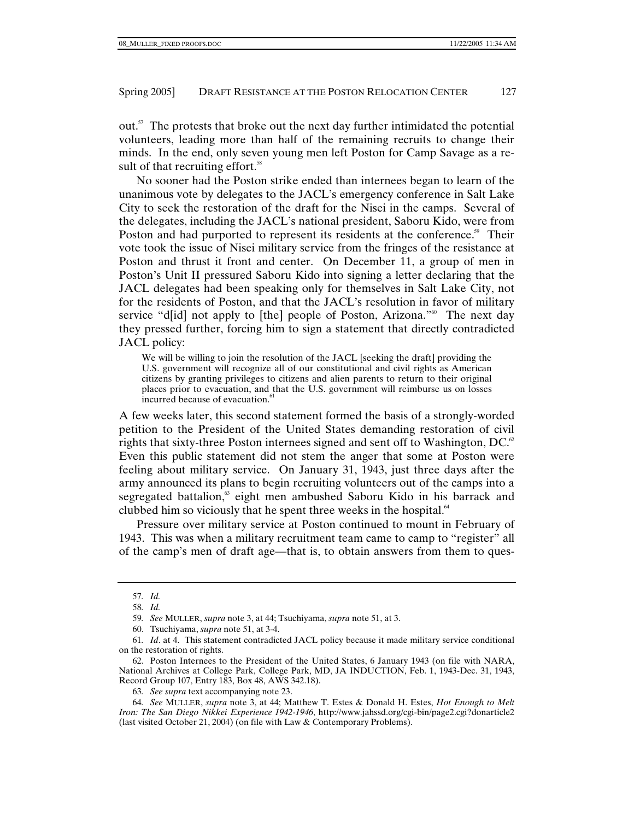out.57 The protests that broke out the next day further intimidated the potential volunteers, leading more than half of the remaining recruits to change their minds. In the end, only seven young men left Poston for Camp Savage as a result of that recruiting effort.<sup>58</sup>

No sooner had the Poston strike ended than internees began to learn of the unanimous vote by delegates to the JACL's emergency conference in Salt Lake City to seek the restoration of the draft for the Nisei in the camps. Several of the delegates, including the JACL's national president, Saboru Kido, were from Poston and had purported to represent its residents at the conference.<sup>59</sup> Their vote took the issue of Nisei military service from the fringes of the resistance at Poston and thrust it front and center. On December 11, a group of men in Poston's Unit II pressured Saboru Kido into signing a letter declaring that the JACL delegates had been speaking only for themselves in Salt Lake City, not for the residents of Poston, and that the JACL's resolution in favor of military service "d[id] not apply to [the] people of Poston, Arizona."<sup>60</sup> The next day they pressed further, forcing him to sign a statement that directly contradicted JACL policy:

We will be willing to join the resolution of the JACL [seeking the draft] providing the U.S. government will recognize all of our constitutional and civil rights as American citizens by granting privileges to citizens and alien parents to return to their original places prior to evacuation, and that the U.S. government will reimburse us on losses incurred because of evacuation.<sup>6</sup>

A few weeks later, this second statement formed the basis of a strongly-worded petition to the President of the United States demanding restoration of civil rights that sixty-three Poston internees signed and sent off to Washington, DC. $62$ Even this public statement did not stem the anger that some at Poston were feeling about military service. On January 31, 1943, just three days after the army announced its plans to begin recruiting volunteers out of the camps into a segregated battalion,<sup>63</sup> eight men ambushed Saboru Kido in his barrack and clubbed him so viciously that he spent three weeks in the hospital.<sup>64</sup>

Pressure over military service at Poston continued to mount in February of 1943. This was when a military recruitment team came to camp to "register" all of the camp's men of draft age—that is, to obtain answers from them to ques-

64*. See* MULLER, *supra* note 3, at 44; Matthew T. Estes & Donald H. Estes, *Hot Enough to Melt Iron: The San Diego Nikkei Experience 1942-1946*, http://www.jahssd.org/cgi-bin/page2.cgi?donarticle2 (last visited October 21, 2004) (on file with Law & Contemporary Problems).

<sup>57</sup>*. Id.*

<sup>58</sup>*. Id.*

<sup>59</sup>*. See* MULLER, *supra* note 3, at 44; Tsuchiyama, *supra* note 51, at 3.

 <sup>60.</sup> Tsuchiyama, *supra* note 51, at 3-4.

<sup>61</sup>*. Id*. at 4. This statement contradicted JACL policy because it made military service conditional on the restoration of rights.

 <sup>62.</sup> Poston Internees to the President of the United States, 6 January 1943 (on file with NARA, National Archives at College Park, College Park, MD, JA INDUCTION, Feb. 1, 1943-Dec. 31, 1943, Record Group 107, Entry 183, Box 48, AWS 342.18).

<sup>63</sup>*. See supra* text accompanying note 23.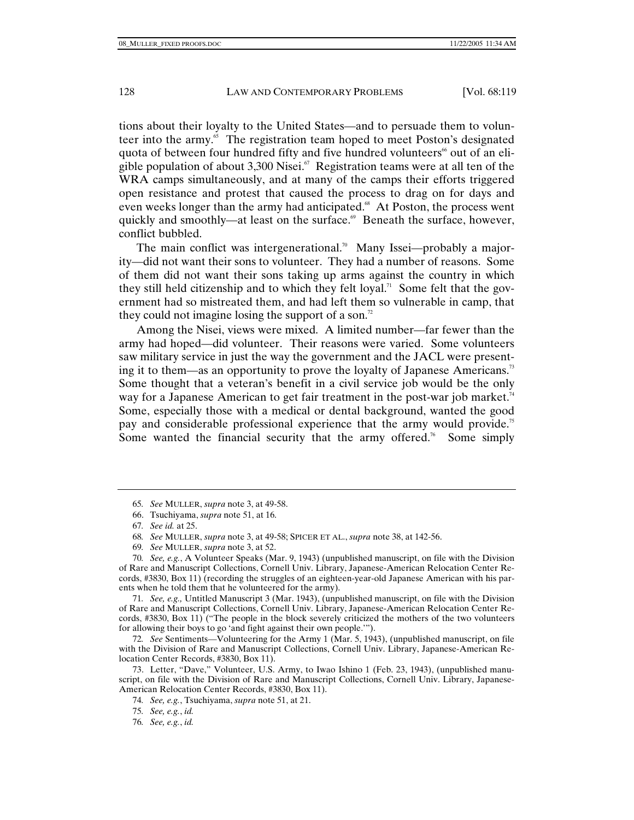tions about their loyalty to the United States—and to persuade them to volunteer into the army.<sup>65</sup> The registration team hoped to meet Poston's designated quota of between four hundred fifty and five hundred volunteers<sup>66</sup> out of an eligible population of about 3,300 Nisei.<sup>67</sup> Registration teams were at all ten of the WRA camps simultaneously, and at many of the camps their efforts triggered open resistance and protest that caused the process to drag on for days and even weeks longer than the army had anticipated.<sup>68</sup> At Poston, the process went quickly and smoothly—at least on the surface.<sup>69</sup> Beneath the surface, however, conflict bubbled.

The main conflict was intergenerational.<sup>70</sup> Many Issei—probably a majority—did not want their sons to volunteer. They had a number of reasons. Some of them did not want their sons taking up arms against the country in which they still held citizenship and to which they felt loyal.<sup>71</sup> Some felt that the government had so mistreated them, and had left them so vulnerable in camp, that they could not imagine losing the support of a son.<sup>72</sup>

Among the Nisei, views were mixed. A limited number—far fewer than the army had hoped—did volunteer. Their reasons were varied. Some volunteers saw military service in just the way the government and the JACL were presenting it to them—as an opportunity to prove the loyalty of Japanese Americans.<sup>73</sup> Some thought that a veteran's benefit in a civil service job would be the only way for a Japanese American to get fair treatment in the post-war job market.<sup>74</sup> Some, especially those with a medical or dental background, wanted the good pay and considerable professional experience that the army would provide.<sup>75</sup> Some wanted the financial security that the army offered.<sup>76</sup> Some simply

71*. See, e.g.,* Untitled Manuscript 3 (Mar. 1943), (unpublished manuscript, on file with the Division of Rare and Manuscript Collections, Cornell Univ. Library, Japanese-American Relocation Center Records, #3830, Box 11) ("The people in the block severely criticized the mothers of the two volunteers for allowing their boys to go 'and fight against their own people.'").

72*. See* Sentiments—Volunteering for the Army 1 (Mar. 5, 1943), (unpublished manuscript, on file with the Division of Rare and Manuscript Collections, Cornell Univ. Library, Japanese-American Relocation Center Records, #3830, Box 11).

 73. Letter, "Dave," Volunteer, U.S. Army, to Iwao Ishino 1 (Feb. 23, 1943), (unpublished manuscript, on file with the Division of Rare and Manuscript Collections, Cornell Univ. Library, Japanese-American Relocation Center Records, #3830, Box 11).

<sup>65</sup>*. See* MULLER, *supra* note 3, at 49-58.

 <sup>66.</sup> Tsuchiyama, *supra* note 51, at 16.

<sup>67</sup>*. See id.* at 25.

<sup>68</sup>*. See* MULLER, *supra* note 3, at 49-58; SPICER ET AL., *supra* note 38, at 142-56.

<sup>69</sup>*. See* MULLER, *supra* note 3, at 52.

<sup>70</sup>*. See, e.g.*, A Volunteer Speaks (Mar. 9, 1943) (unpublished manuscript, on file with the Division of Rare and Manuscript Collections, Cornell Univ. Library, Japanese-American Relocation Center Records, #3830, Box 11) (recording the struggles of an eighteen-year-old Japanese American with his parents when he told them that he volunteered for the army).

<sup>74</sup>*. See, e.g.*, Tsuchiyama, *supra* note 51, at 21.

<sup>75</sup>*. See, e.g.*, *id.*

<sup>76</sup>*. See, e.g.*, *id.*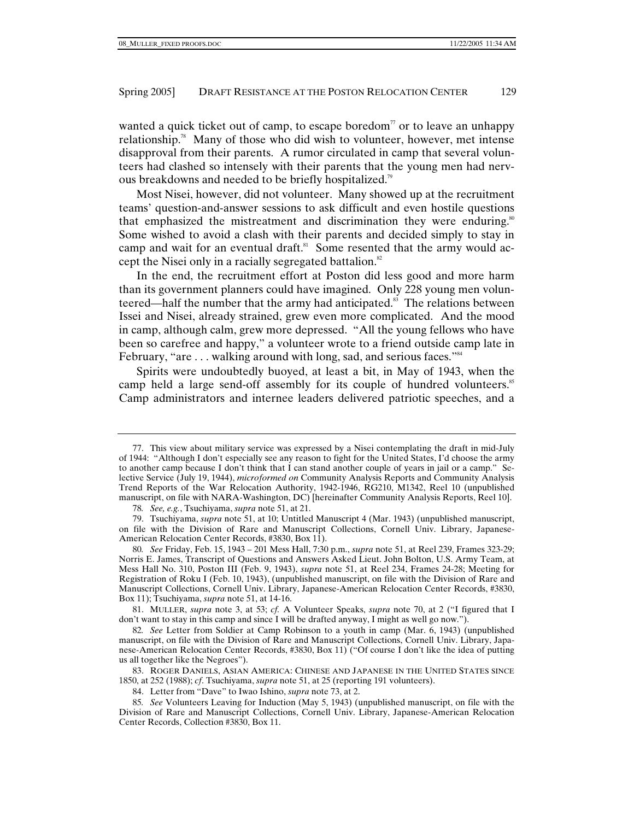wanted a quick ticket out of camp, to escape boredom<sup> $\pi$ </sup> or to leave an unhappy relationship.78 Many of those who did wish to volunteer, however, met intense disapproval from their parents. A rumor circulated in camp that several volunteers had clashed so intensely with their parents that the young men had nervous breakdowns and needed to be briefly hospitalized.79

Most Nisei, however, did not volunteer. Many showed up at the recruitment teams' question-and-answer sessions to ask difficult and even hostile questions that emphasized the mistreatment and discrimination they were enduring.<sup>80</sup> Some wished to avoid a clash with their parents and decided simply to stay in camp and wait for an eventual draft.<sup>81</sup> Some resented that the army would accept the Nisei only in a racially segregated battalion. $82$ 

In the end, the recruitment effort at Poston did less good and more harm than its government planners could have imagined. Only 228 young men volunteered—half the number that the army had anticipated. $83$  The relations between Issei and Nisei, already strained, grew even more complicated. And the mood in camp, although calm, grew more depressed. "All the young fellows who have been so carefree and happy," a volunteer wrote to a friend outside camp late in February, "are ... walking around with long, sad, and serious faces."<sup>34</sup>

Spirits were undoubtedly buoyed, at least a bit, in May of 1943, when the camp held a large send-off assembly for its couple of hundred volunteers.<sup>85</sup> Camp administrators and internee leaders delivered patriotic speeches, and a

 <sup>77.</sup> This view about military service was expressed by a Nisei contemplating the draft in mid-July of 1944: "Although I don't especially see any reason to fight for the United States, I'd choose the army to another camp because I don't think that I can stand another couple of years in jail or a camp." Selective Service (July 19, 1944), *microformed on* Community Analysis Reports and Community Analysis Trend Reports of the War Relocation Authority, 1942-1946, RG210, M1342, Reel 10 (unpublished manuscript, on file with NARA-Washington, DC) [hereinafter Community Analysis Reports, Reel 10].

<sup>78</sup>*. See, e.g.*, Tsuchiyama, *supra* note 51, at 21.

 <sup>79.</sup> Tsuchiyama, *supra* note 51, at 10; Untitled Manuscript 4 (Mar. 1943) (unpublished manuscript, on file with the Division of Rare and Manuscript Collections, Cornell Univ. Library, Japanese-American Relocation Center Records, #3830, Box 11).

<sup>80</sup>*. See* Friday, Feb. 15, 1943 – 201 Mess Hall, 7:30 p.m., *supra* note 51, at Reel 239, Frames 323-29; Norris E. James, Transcript of Questions and Answers Asked Lieut. John Bolton, U.S. Army Team, at Mess Hall No. 310, Poston III (Feb. 9, 1943), *supra* note 51, at Reel 234, Frames 24-28; Meeting for Registration of Roku I (Feb. 10, 1943), (unpublished manuscript, on file with the Division of Rare and Manuscript Collections, Cornell Univ. Library, Japanese-American Relocation Center Records, #3830, Box 11); Tsuchiyama, *supra* note 51, at 14-16.

 <sup>81.</sup> MULLER, *supra* note 3, at 53; *cf.* A Volunteer Speaks, *supra* note 70, at 2 ("I figured that I don't want to stay in this camp and since I will be drafted anyway, I might as well go now.").

<sup>82</sup>*. See* Letter from Soldier at Camp Robinson to a youth in camp (Mar. 6, 1943) (unpublished manuscript, on file with the Division of Rare and Manuscript Collections, Cornell Univ. Library, Japanese-American Relocation Center Records, #3830, Box 11) ("Of course I don't like the idea of putting us all together like the Negroes").

 <sup>83.</sup> ROGER DANIELS, ASIAN AMERICA: CHINESE AND JAPANESE IN THE UNITED STATES SINCE 1850, at 252 (1988); *cf*. Tsuchiyama, *supra* note 51, at 25 (reporting 191 volunteers).

 <sup>84.</sup> Letter from "Dave" to Iwao Ishino, *supra* note 73, at 2.

<sup>85</sup>*. See* Volunteers Leaving for Induction (May 5, 1943) (unpublished manuscript, on file with the Division of Rare and Manuscript Collections, Cornell Univ. Library, Japanese-American Relocation Center Records, Collection #3830, Box 11.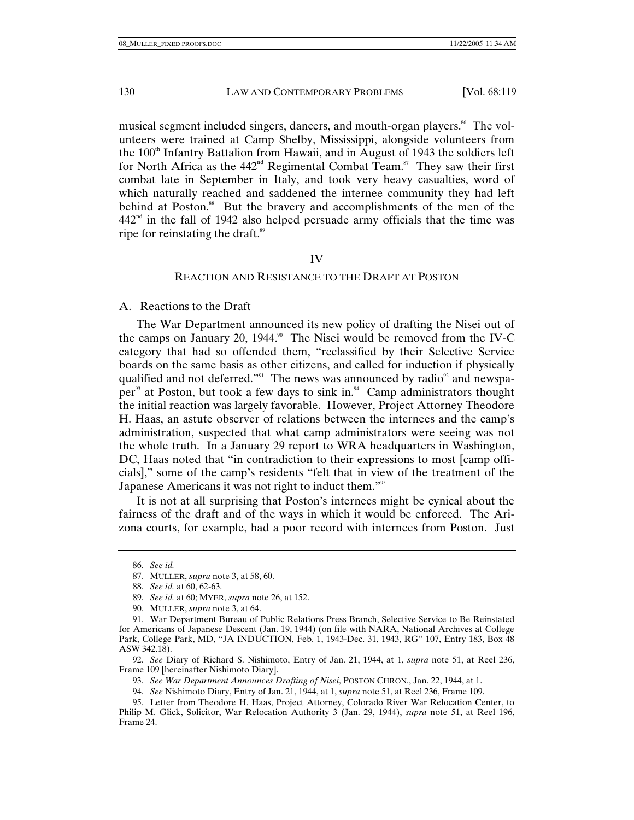musical segment included singers, dancers, and mouth-organ players.<sup>86</sup> The volunteers were trained at Camp Shelby, Mississippi, alongside volunteers from the  $100<sup>th</sup>$  Infantry Battalion from Hawaii, and in August of 1943 the soldiers left for North Africa as the  $442<sup>nd</sup>$  Regimental Combat Team.<sup>87</sup> They saw their first combat late in September in Italy, and took very heavy casualties, word of which naturally reached and saddened the internee community they had left behind at Poston.<sup>88</sup> But the bravery and accomplishments of the men of the  $442<sup>nd</sup>$  in the fall of 1942 also helped persuade army officials that the time was ripe for reinstating the draft.<sup>89</sup>

#### IV

#### REACTION AND RESISTANCE TO THE DRAFT AT POSTON

A. Reactions to the Draft

The War Department announced its new policy of drafting the Nisei out of the camps on January 20, 1944.<sup>90</sup> The Nisei would be removed from the IV-C category that had so offended them, "reclassified by their Selective Service boards on the same basis as other citizens, and called for induction if physically qualified and not deferred."<sup>91</sup> The news was announced by radio $92$  and newspaper<sup>93</sup> at Poston, but took a few days to sink in.<sup>94</sup> Camp administrators thought the initial reaction was largely favorable. However, Project Attorney Theodore H. Haas, an astute observer of relations between the internees and the camp's administration, suspected that what camp administrators were seeing was not the whole truth. In a January 29 report to WRA headquarters in Washington, DC, Haas noted that "in contradiction to their expressions to most [camp officials]," some of the camp's residents "felt that in view of the treatment of the Japanese Americans it was not right to induct them."95

It is not at all surprising that Poston's internees might be cynical about the fairness of the draft and of the ways in which it would be enforced. The Arizona courts, for example, had a poor record with internees from Poston. Just

92*. See* Diary of Richard S. Nishimoto, Entry of Jan. 21, 1944, at 1, *supra* note 51, at Reel 236, Frame 109 [hereinafter Nishimoto Diary].

93*. See War Department Announces Drafting of Nisei*, POSTON CHRON., Jan. 22, 1944, at 1.

94*. See* Nishimoto Diary, Entry of Jan. 21, 1944, at 1, *supra* note 51, at Reel 236, Frame 109.

<sup>86</sup>*. See id.*

 <sup>87.</sup> MULLER, *supra* note 3, at 58, 60.

<sup>88</sup>*. See id.* at 60, 62-63.

<sup>89</sup>*. See id.* at 60; MYER, *supra* note 26, at 152.

 <sup>90.</sup> MULLER, *supra* note 3, at 64.

 <sup>91.</sup> War Department Bureau of Public Relations Press Branch, Selective Service to Be Reinstated for Americans of Japanese Descent (Jan. 19, 1944) (on file with NARA, National Archives at College Park, College Park, MD, "JA INDUCTION, Feb. 1, 1943-Dec. 31, 1943, RG" 107, Entry 183, Box 48 ASW 342.18).

 <sup>95.</sup> Letter from Theodore H. Haas, Project Attorney, Colorado River War Relocation Center, to Philip M. Glick, Solicitor, War Relocation Authority 3 (Jan. 29, 1944), *supra* note 51, at Reel 196, Frame 24.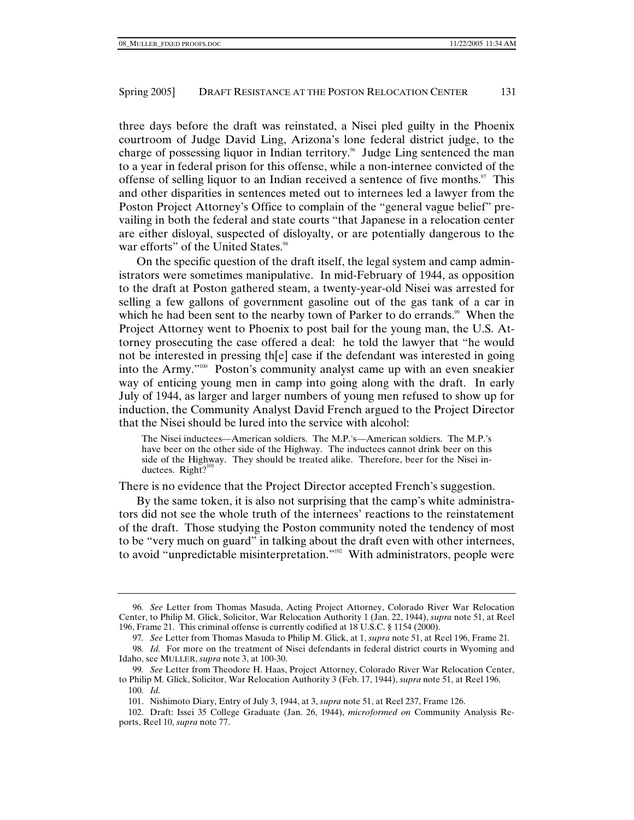three days before the draft was reinstated, a Nisei pled guilty in the Phoenix courtroom of Judge David Ling, Arizona's lone federal district judge, to the charge of possessing liquor in Indian territory.<sup>96</sup> Judge Ling sentenced the man to a year in federal prison for this offense, while a non-internee convicted of the offense of selling liquor to an Indian received a sentence of five months. $97$  This and other disparities in sentences meted out to internees led a lawyer from the Poston Project Attorney's Office to complain of the "general vague belief" prevailing in both the federal and state courts "that Japanese in a relocation center are either disloyal, suspected of disloyalty, or are potentially dangerous to the war efforts" of the United States.<sup>98</sup>

On the specific question of the draft itself, the legal system and camp administrators were sometimes manipulative. In mid-February of 1944, as opposition to the draft at Poston gathered steam, a twenty-year-old Nisei was arrested for selling a few gallons of government gasoline out of the gas tank of a car in which he had been sent to the nearby town of Parker to do errands.<sup>99</sup> When the Project Attorney went to Phoenix to post bail for the young man, the U.S. Attorney prosecuting the case offered a deal: he told the lawyer that "he would not be interested in pressing th[e] case if the defendant was interested in going into the Army."100 Poston's community analyst came up with an even sneakier way of enticing young men in camp into going along with the draft. In early July of 1944, as larger and larger numbers of young men refused to show up for induction, the Community Analyst David French argued to the Project Director that the Nisei should be lured into the service with alcohol:

The Nisei inductees—American soldiers. The M.P.'s—American soldiers. The M.P.'s have beer on the other side of the Highway. The inductees cannot drink beer on this side of the Highway. They should be treated alike. Therefore, beer for the Nisei inductees. Right? $101$ 

There is no evidence that the Project Director accepted French's suggestion.

By the same token, it is also not surprising that the camp's white administrators did not see the whole truth of the internees' reactions to the reinstatement of the draft. Those studying the Poston community noted the tendency of most to be "very much on guard" in talking about the draft even with other internees, to avoid "unpredictable misinterpretation."102 With administrators, people were

<sup>96</sup>*. See* Letter from Thomas Masuda, Acting Project Attorney, Colorado River War Relocation Center, to Philip M. Glick, Solicitor, War Relocation Authority 1 (Jan. 22, 1944), *supra* note 51, at Reel 196, Frame 21. This criminal offense is currently codified at 18 U.S.C. § 1154 (2000).

<sup>97</sup>*. See* Letter from Thomas Masuda to Philip M. Glick, at 1, *supra* note 51, at Reel 196, Frame 21*.*

<sup>98</sup>*. Id.* For more on the treatment of Nisei defendants in federal district courts in Wyoming and Idaho, see MULLER, *supra* note 3, at 100-30.

<sup>99</sup>*. See* Letter from Theodore H. Haas, Project Attorney, Colorado River War Relocation Center, to Philip M. Glick, Solicitor, War Relocation Authority 3 (Feb. 17, 1944), *supra* note 51, at Reel 196.

<sup>100</sup>*. Id.*

 <sup>101.</sup> Nishimoto Diary, Entry of July 3, 1944, at 3, *supra* note 51, at Reel 237, Frame 126.

 <sup>102.</sup> Draft: Issei 35 College Graduate (Jan. 26, 1944), *microformed on* Community Analysis Reports, Reel 10, *supra* note 77.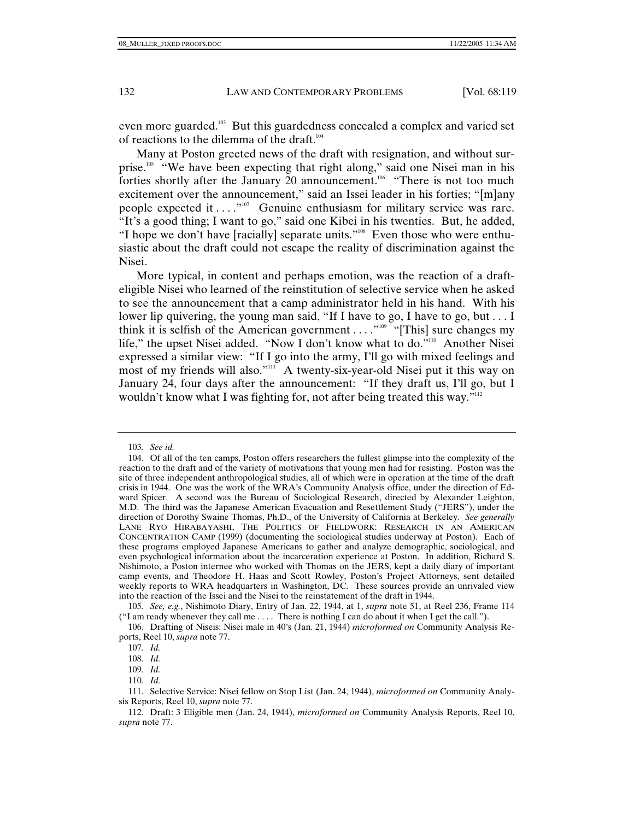even more guarded.103 But this guardedness concealed a complex and varied set of reactions to the dilemma of the draft.<sup>104</sup>

Many at Poston greeted news of the draft with resignation, and without surprise.<sup>105</sup> "We have been expecting that right along," said one Nisei man in his forties shortly after the January 20 announcement.<sup>106</sup> "There is not too much excitement over the announcement," said an Issei leader in his forties; "[m]any people expected it  $\dots$ ."<sup>107</sup> Genuine enthusiasm for military service was rare. "It's a good thing; I want to go," said one Kibei in his twenties. But, he added, "I hope we don't have [racially] separate units."<sup>108</sup> Even those who were enthusiastic about the draft could not escape the reality of discrimination against the Nisei.

More typical, in content and perhaps emotion, was the reaction of a drafteligible Nisei who learned of the reinstitution of selective service when he asked to see the announcement that a camp administrator held in his hand. With his lower lip quivering, the young man said, "If I have to go, I have to go, but . . . I think it is selfish of the American government . . . . "<sup>109</sup> "[This] sure changes my life," the upset Nisei added. "Now I don't know what to do."<sup>110</sup> Another Nisei expressed a similar view: "If I go into the army, I'll go with mixed feelings and most of my friends will also."<sup>111</sup> A twenty-six-year-old Nisei put it this way on January 24, four days after the announcement: "If they draft us, I'll go, but I wouldn't know what I was fighting for, not after being treated this way."<sup>112</sup>

110*. Id.*

<sup>103</sup>*. See id.*

 <sup>104.</sup> Of all of the ten camps, Poston offers researchers the fullest glimpse into the complexity of the reaction to the draft and of the variety of motivations that young men had for resisting. Poston was the site of three independent anthropological studies, all of which were in operation at the time of the draft crisis in 1944. One was the work of the WRA's Community Analysis office, under the direction of Edward Spicer. A second was the Bureau of Sociological Research, directed by Alexander Leighton, M.D. The third was the Japanese American Evacuation and Resettlement Study ("JERS"), under the direction of Dorothy Swaine Thomas, Ph.D., of the University of California at Berkeley. *See generally*  LANE RYO HIRABAYASHI, THE POLITICS OF FIELDWORK: RESEARCH IN AN AMERICAN CONCENTRATION CAMP (1999) (documenting the sociological studies underway at Poston). Each of these programs employed Japanese Americans to gather and analyze demographic, sociological, and even psychological information about the incarceration experience at Poston. In addition, Richard S. Nishimoto, a Poston internee who worked with Thomas on the JERS, kept a daily diary of important camp events, and Theodore H. Haas and Scott Rowley, Poston's Project Attorneys, sent detailed weekly reports to WRA headquarters in Washington, DC. These sources provide an unrivaled view into the reaction of the Issei and the Nisei to the reinstatement of the draft in 1944.

<sup>105</sup>*. See, e.g.*, Nishimoto Diary, Entry of Jan. 22, 1944, at 1, *supra* note 51, at Reel 236, Frame 114 ("I am ready whenever they call me . . . . There is nothing I can do about it when I get the call.").

 <sup>106.</sup> Drafting of Niseis: Nisei male in 40's (Jan. 21, 1944) *microformed on* Community Analysis Reports, Reel 10, *supra* note 77.

<sup>107</sup>*. Id.*

<sup>108</sup>*. Id.*

<sup>109</sup>*. Id.*

 <sup>111.</sup> Selective Service: Nisei fellow on Stop List (Jan. 24, 1944), *microformed on* Community Analysis Reports, Reel 10, *supra* note 77.

 <sup>112.</sup> Draft: 3 Eligible men (Jan. 24, 1944), *microformed on* Community Analysis Reports, Reel 10, *supra* note 77.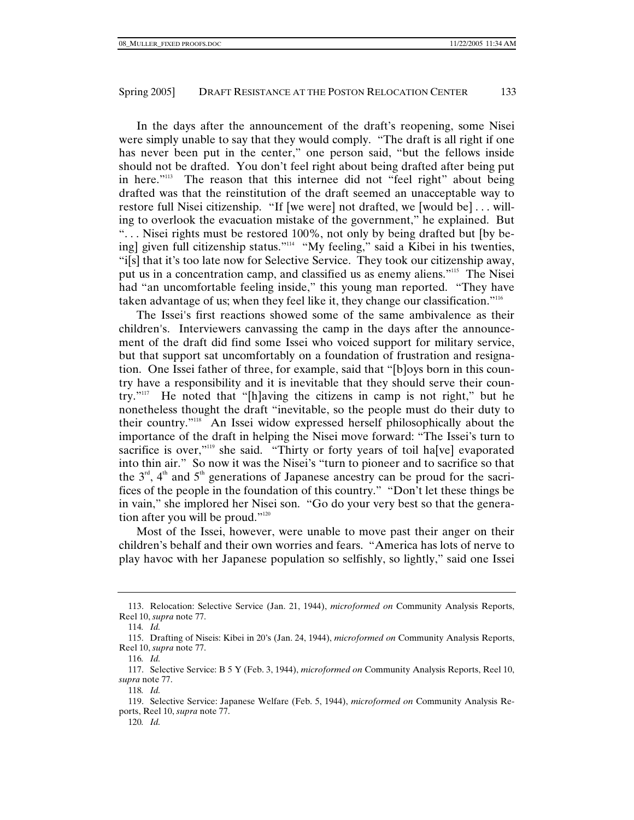In the days after the announcement of the draft's reopening, some Nisei were simply unable to say that they would comply. "The draft is all right if one has never been put in the center," one person said, "but the fellows inside should not be drafted. You don't feel right about being drafted after being put in here."113 The reason that this internee did not "feel right" about being drafted was that the reinstitution of the draft seemed an unacceptable way to restore full Nisei citizenship. "If [we were] not drafted, we [would be] . . . willing to overlook the evacuation mistake of the government," he explained. But ". . . Nisei rights must be restored 100%, not only by being drafted but [by being] given full citizenship status."114 "My feeling," said a Kibei in his twenties, "i[s] that it's too late now for Selective Service. They took our citizenship away, put us in a concentration camp, and classified us as enemy aliens."115 The Nisei had "an uncomfortable feeling inside," this young man reported. "They have taken advantage of us; when they feel like it, they change our classification."116

The Issei's first reactions showed some of the same ambivalence as their children's. Interviewers canvassing the camp in the days after the announcement of the draft did find some Issei who voiced support for military service, but that support sat uncomfortably on a foundation of frustration and resignation. One Issei father of three, for example, said that "[b]oys born in this country have a responsibility and it is inevitable that they should serve their country."117 He noted that "[h]aving the citizens in camp is not right," but he nonetheless thought the draft "inevitable, so the people must do their duty to their country."118 An Issei widow expressed herself philosophically about the importance of the draft in helping the Nisei move forward: "The Issei's turn to sacrifice is over,"<sup>119</sup> she said. "Thirty or forty years of toil ha<sup>[ve]</sup> evaporated into thin air." So now it was the Nisei's "turn to pioneer and to sacrifice so that the  $3<sup>rd</sup>$ ,  $4<sup>th</sup>$  and  $5<sup>th</sup>$  generations of Japanese ancestry can be proud for the sacrifices of the people in the foundation of this country." "Don't let these things be in vain," she implored her Nisei son. "Go do your very best so that the generation after you will be proud."<sup>120</sup>

Most of the Issei, however, were unable to move past their anger on their children's behalf and their own worries and fears. "America has lots of nerve to play havoc with her Japanese population so selfishly, so lightly," said one Issei

 <sup>113.</sup> Relocation: Selective Service (Jan. 21, 1944), *microformed on* Community Analysis Reports, Reel 10, *supra* note 77.

<sup>114</sup>*. Id.*

 <sup>115.</sup> Drafting of Niseis: Kibei in 20's (Jan. 24, 1944), *microformed on* Community Analysis Reports, Reel 10, *supra* note 77.

<sup>116</sup>*. Id.*

 <sup>117.</sup> Selective Service: B 5 Y (Feb. 3, 1944), *microformed on* Community Analysis Reports, Reel 10, *supra* note 77.

<sup>118</sup>*. Id.*

 <sup>119.</sup> Selective Service: Japanese Welfare (Feb. 5, 1944), *microformed on* Community Analysis Reports, Reel 10, *supra* note 77.

<sup>120</sup>*. Id.*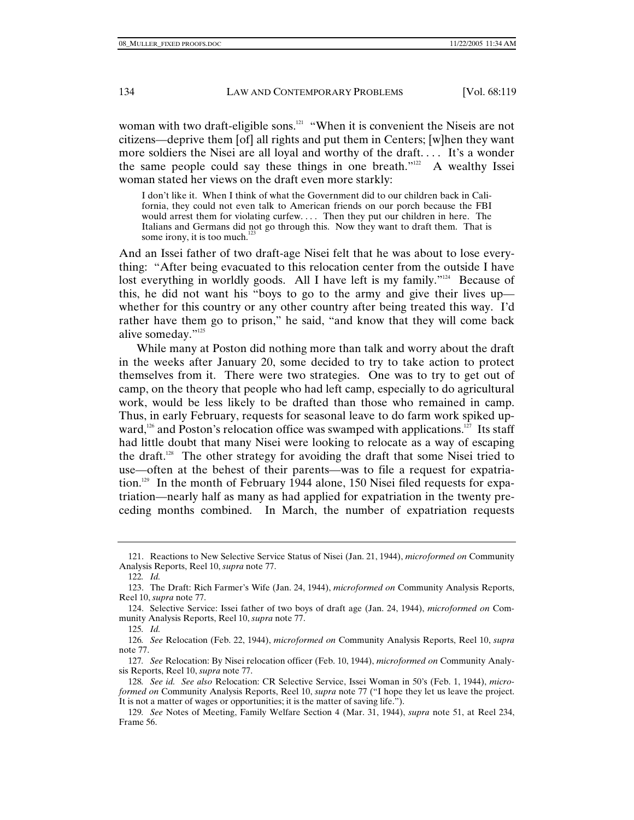woman with two draft-eligible sons.<sup>121</sup> "When it is convenient the Niseis are not citizens—deprive them [of] all rights and put them in Centers; [w]hen they want more soldiers the Nisei are all loyal and worthy of the draft. . . . It's a wonder the same people could say these things in one breath." $22$  A wealthy Issei woman stated her views on the draft even more starkly:

I don't like it. When I think of what the Government did to our children back in California, they could not even talk to American friends on our porch because the FBI would arrest them for violating curfew. . . . Then they put our children in here. The Italians and Germans did not go through this. Now they want to draft them. That is some irony, it is too much.<sup>12</sup>

And an Issei father of two draft-age Nisei felt that he was about to lose everything: "After being evacuated to this relocation center from the outside I have lost everything in worldly goods. All I have left is my family."<sup>124</sup> Because of this, he did not want his "boys to go to the army and give their lives up whether for this country or any other country after being treated this way. I'd rather have them go to prison," he said, "and know that they will come back alive someday."125

While many at Poston did nothing more than talk and worry about the draft in the weeks after January 20, some decided to try to take action to protect themselves from it. There were two strategies. One was to try to get out of camp, on the theory that people who had left camp, especially to do agricultural work, would be less likely to be drafted than those who remained in camp. Thus, in early February, requests for seasonal leave to do farm work spiked upward,<sup>126</sup> and Poston's relocation office was swamped with applications.<sup>127</sup> Its staff had little doubt that many Nisei were looking to relocate as a way of escaping the draft.128 The other strategy for avoiding the draft that some Nisei tried to use—often at the behest of their parents—was to file a request for expatriation.<sup>129</sup> In the month of February 1944 alone, 150 Nisei filed requests for expatriation—nearly half as many as had applied for expatriation in the twenty preceding months combined. In March, the number of expatriation requests

 <sup>121.</sup> Reactions to New Selective Service Status of Nisei (Jan. 21, 1944), *microformed on* Community Analysis Reports, Reel 10, *supra* note 77.

<sup>122</sup>*. Id.*

 <sup>123.</sup> The Draft: Rich Farmer's Wife (Jan. 24, 1944), *microformed on* Community Analysis Reports, Reel 10, *supra* note 77.

 <sup>124.</sup> Selective Service: Issei father of two boys of draft age (Jan. 24, 1944), *microformed on* Community Analysis Reports, Reel 10, *supra* note 77.

<sup>125</sup>*. Id.*

<sup>126</sup>*. See* Relocation (Feb. 22, 1944), *microformed on* Community Analysis Reports, Reel 10, *supra* note 77.

<sup>127</sup>*. See* Relocation: By Nisei relocation officer (Feb. 10, 1944), *microformed on* Community Analysis Reports, Reel 10, *supra* note 77.

<sup>128</sup>*. See id. See also* Relocation: CR Selective Service, Issei Woman in 50's (Feb. 1, 1944), *microformed on* Community Analysis Reports, Reel 10, *supra* note 77 ("I hope they let us leave the project. It is not a matter of wages or opportunities; it is the matter of saving life.").

<sup>129</sup>*. See* Notes of Meeting, Family Welfare Section 4 (Mar. 31, 1944), *supra* note 51, at Reel 234, Frame 56.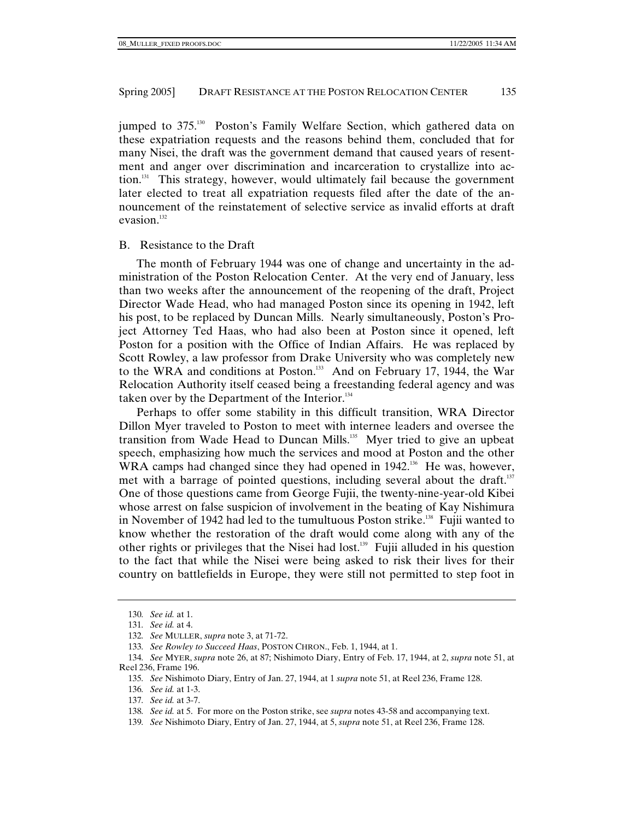jumped to 375.<sup>130</sup> Poston's Family Welfare Section, which gathered data on these expatriation requests and the reasons behind them, concluded that for many Nisei, the draft was the government demand that caused years of resentment and anger over discrimination and incarceration to crystallize into action.131 This strategy, however, would ultimately fail because the government later elected to treat all expatriation requests filed after the date of the announcement of the reinstatement of selective service as invalid efforts at draft evasion.<sup>132</sup>

## B. Resistance to the Draft

The month of February 1944 was one of change and uncertainty in the administration of the Poston Relocation Center. At the very end of January, less than two weeks after the announcement of the reopening of the draft, Project Director Wade Head, who had managed Poston since its opening in 1942, left his post, to be replaced by Duncan Mills. Nearly simultaneously, Poston's Project Attorney Ted Haas, who had also been at Poston since it opened, left Poston for a position with the Office of Indian Affairs. He was replaced by Scott Rowley, a law professor from Drake University who was completely new to the WRA and conditions at Poston.<sup>133</sup> And on February 17, 1944, the War Relocation Authority itself ceased being a freestanding federal agency and was taken over by the Department of the Interior. $134$ 

Perhaps to offer some stability in this difficult transition, WRA Director Dillon Myer traveled to Poston to meet with internee leaders and oversee the transition from Wade Head to Duncan Mills.<sup>135</sup> Myer tried to give an upbeat speech, emphasizing how much the services and mood at Poston and the other WRA camps had changed since they had opened in 1942.<sup>136</sup> He was, however, met with a barrage of pointed questions, including several about the draft.<sup>137</sup> One of those questions came from George Fujii, the twenty-nine-year-old Kibei whose arrest on false suspicion of involvement in the beating of Kay Nishimura in November of 1942 had led to the tumultuous Poston strike.<sup>138</sup> Fujii wanted to know whether the restoration of the draft would come along with any of the other rights or privileges that the Nisei had lost.<sup>139</sup> Fujii alluded in his question to the fact that while the Nisei were being asked to risk their lives for their country on battlefields in Europe, they were still not permitted to step foot in

<sup>130</sup>*. See id.* at 1.

<sup>131</sup>*. See id.* at 4.

<sup>132</sup>*. See* MULLER, *supra* note 3, at 71-72.

<sup>133</sup>*. See Rowley to Succeed Haas*, POSTON CHRON., Feb. 1, 1944, at 1.

<sup>134</sup>*. See* MYER, *supra* note 26, at 87; Nishimoto Diary, Entry of Feb. 17, 1944, at 2, *supra* note 51, at Reel 236, Frame 196.

<sup>135</sup>*. See* Nishimoto Diary, Entry of Jan. 27, 1944, at 1 *supra* note 51, at Reel 236, Frame 128.

<sup>136</sup>*. See id.* at 1-3.

<sup>137</sup>*. See id.* at 3-7.

<sup>138</sup>*. See id.* at 5. For more on the Poston strike, see *supra* notes 43-58 and accompanying text.

<sup>139</sup>*. See* Nishimoto Diary, Entry of Jan. 27, 1944, at 5, *supra* note 51, at Reel 236, Frame 128.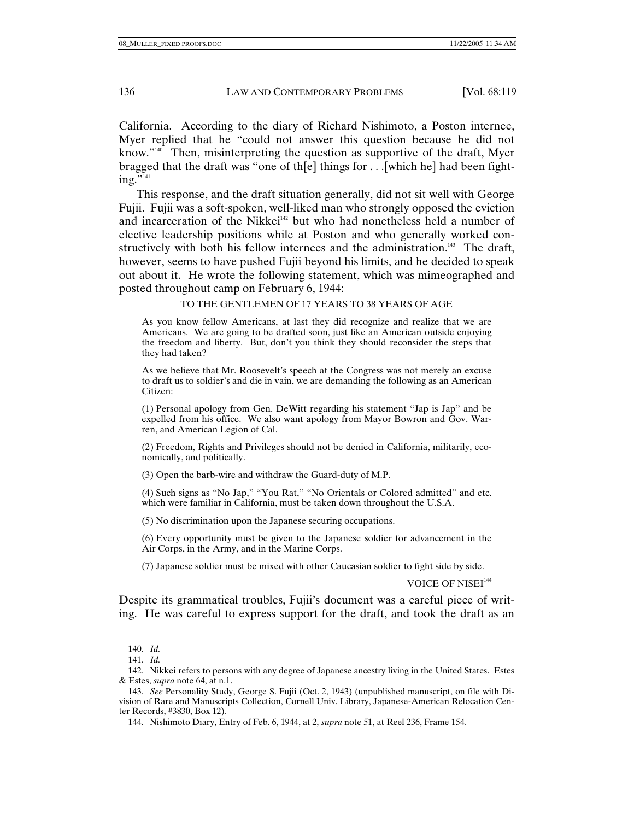California. According to the diary of Richard Nishimoto, a Poston internee, Myer replied that he "could not answer this question because he did not know."140 Then, misinterpreting the question as supportive of the draft, Myer bragged that the draft was "one of the l things for  $\dots$  [which he] had been fight $ing.$ "141

This response, and the draft situation generally, did not sit well with George Fujii. Fujii was a soft-spoken, well-liked man who strongly opposed the eviction and incarceration of the Nikkei<sup>142</sup> but who had nonetheless held a number of elective leadership positions while at Poston and who generally worked constructively with both his fellow internees and the administration.<sup>143</sup> The draft, however, seems to have pushed Fujii beyond his limits, and he decided to speak out about it. He wrote the following statement, which was mimeographed and posted throughout camp on February 6, 1944:

TO THE GENTLEMEN OF 17 YEARS TO 38 YEARS OF AGE

As you know fellow Americans, at last they did recognize and realize that we are Americans. We are going to be drafted soon, just like an American outside enjoying the freedom and liberty. But, don't you think they should reconsider the steps that they had taken?

As we believe that Mr. Roosevelt's speech at the Congress was not merely an excuse to draft us to soldier's and die in vain, we are demanding the following as an American Citizen:

(1) Personal apology from Gen. DeWitt regarding his statement "Jap is Jap" and be expelled from his office. We also want apology from Mayor Bowron and Gov. Warren, and American Legion of Cal.

(2) Freedom, Rights and Privileges should not be denied in California, militarily, economically, and politically.

(3) Open the barb-wire and withdraw the Guard-duty of M.P.

(4) Such signs as "No Jap," "You Rat," "No Orientals or Colored admitted" and etc. which were familiar in California, must be taken down throughout the U.S.A.

(5) No discrimination upon the Japanese securing occupations.

(6) Every opportunity must be given to the Japanese soldier for advancement in the Air Corps, in the Army, and in the Marine Corps.

(7) Japanese soldier must be mixed with other Caucasian soldier to fight side by side.

VOICE OF NISEI<sup>144</sup>

Despite its grammatical troubles, Fujii's document was a careful piece of writing. He was careful to express support for the draft, and took the draft as an

<sup>140</sup>*. Id.*

<sup>141</sup>*. Id.*

 <sup>142.</sup> Nikkei refers to persons with any degree of Japanese ancestry living in the United States. Estes & Estes, *supra* note 64, at n.1.

<sup>143</sup>*. See* Personality Study, George S. Fujii (Oct. 2, 1943) (unpublished manuscript, on file with Division of Rare and Manuscripts Collection, Cornell Univ. Library, Japanese-American Relocation Center Records, #3830, Box 12).

 <sup>144.</sup> Nishimoto Diary, Entry of Feb. 6, 1944, at 2, *supra* note 51, at Reel 236, Frame 154.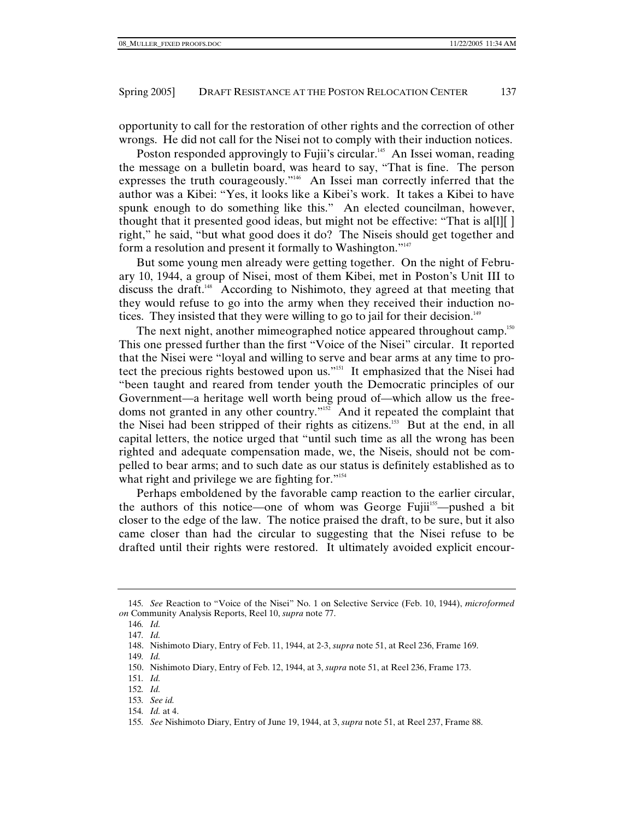opportunity to call for the restoration of other rights and the correction of other wrongs. He did not call for the Nisei not to comply with their induction notices.

Poston responded approvingly to Fujii's circular.<sup>145</sup> An Issei woman, reading the message on a bulletin board, was heard to say, "That is fine. The person expresses the truth courageously."146 An Issei man correctly inferred that the author was a Kibei: "Yes, it looks like a Kibei's work. It takes a Kibei to have spunk enough to do something like this." An elected councilman, however, thought that it presented good ideas, but might not be effective: "That is al[l][ ] right," he said, "but what good does it do? The Niseis should get together and form a resolution and present it formally to Washington."<sup>147</sup>

But some young men already were getting together. On the night of February 10, 1944, a group of Nisei, most of them Kibei, met in Poston's Unit III to discuss the draft.148 According to Nishimoto, they agreed at that meeting that they would refuse to go into the army when they received their induction notices. They insisted that they were willing to go to jail for their decision.<sup>149</sup>

The next night, another mimeographed notice appeared throughout camp.<sup>150</sup> This one pressed further than the first "Voice of the Nisei" circular. It reported that the Nisei were "loyal and willing to serve and bear arms at any time to protect the precious rights bestowed upon us."151 It emphasized that the Nisei had "been taught and reared from tender youth the Democratic principles of our Government—a heritage well worth being proud of—which allow us the freedoms not granted in any other country."152 And it repeated the complaint that the Nisei had been stripped of their rights as citizens.<sup>153</sup> But at the end, in all capital letters, the notice urged that "until such time as all the wrong has been righted and adequate compensation made, we, the Niseis, should not be compelled to bear arms; and to such date as our status is definitely established as to what right and privilege we are fighting for."<sup>154</sup>

Perhaps emboldened by the favorable camp reaction to the earlier circular, the authors of this notice—one of whom was George Fujii<sup>155</sup>—pushed a bit closer to the edge of the law. The notice praised the draft, to be sure, but it also came closer than had the circular to suggesting that the Nisei refuse to be drafted until their rights were restored. It ultimately avoided explicit encour-

154*. Id.* at 4.

<sup>145</sup>*. See* Reaction to "Voice of the Nisei" No. 1 on Selective Service (Feb. 10, 1944), *microformed on* Community Analysis Reports, Reel 10, *supra* note 77.

<sup>146</sup>*. Id.*

<sup>147</sup>*. Id.*

 <sup>148.</sup> Nishimoto Diary, Entry of Feb. 11, 1944, at 2-3, *supra* note 51, at Reel 236, Frame 169.

<sup>149</sup>*. Id.*

 <sup>150.</sup> Nishimoto Diary, Entry of Feb. 12, 1944, at 3, *supra* note 51, at Reel 236, Frame 173.

<sup>151</sup>*. Id.*

<sup>152</sup>*. Id.*

<sup>153</sup>*. See id.*

<sup>155</sup>*. See* Nishimoto Diary, Entry of June 19, 1944, at 3, *supra* note 51, at Reel 237, Frame 88.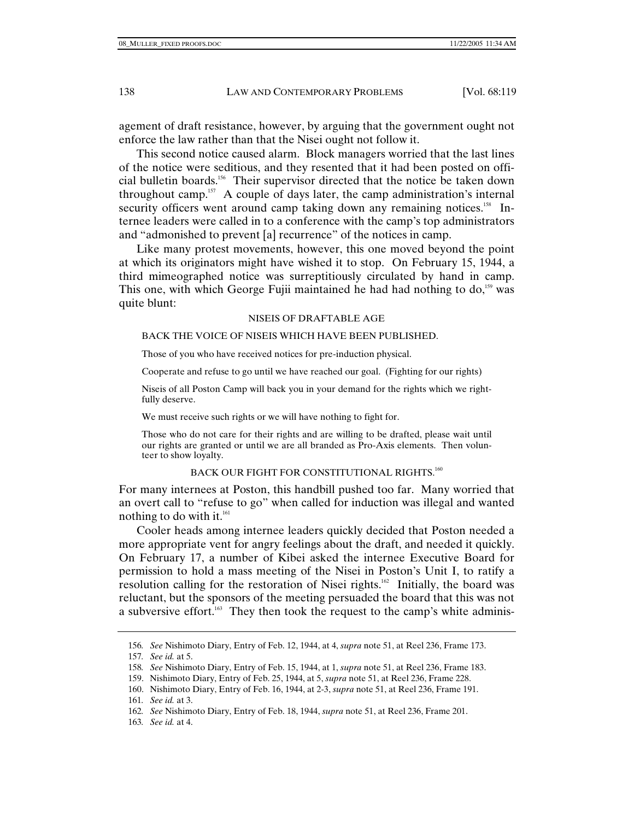agement of draft resistance, however, by arguing that the government ought not enforce the law rather than that the Nisei ought not follow it.

This second notice caused alarm. Block managers worried that the last lines of the notice were seditious, and they resented that it had been posted on official bulletin boards.156 Their supervisor directed that the notice be taken down throughout camp.<sup>157</sup> A couple of days later, the camp administration's internal security officers went around camp taking down any remaining notices.<sup>158</sup> Internee leaders were called in to a conference with the camp's top administrators and "admonished to prevent [a] recurrence" of the notices in camp.

Like many protest movements, however, this one moved beyond the point at which its originators might have wished it to stop. On February 15, 1944, a third mimeographed notice was surreptitiously circulated by hand in camp. This one, with which George Fujii maintained he had had nothing to  $\text{do}$ ,<sup>159</sup> was quite blunt:

#### NISEIS OF DRAFTABLE AGE

#### BACK THE VOICE OF NISEIS WHICH HAVE BEEN PUBLISHED.

Those of you who have received notices for pre-induction physical.

Cooperate and refuse to go until we have reached our goal. (Fighting for our rights)

Niseis of all Poston Camp will back you in your demand for the rights which we rightfully deserve.

We must receive such rights or we will have nothing to fight for.

Those who do not care for their rights and are willing to be drafted, please wait until our rights are granted or until we are all branded as Pro-Axis elements. Then volunteer to show loyalty.

# BACK OUR FIGHT FOR CONSTITUTIONAL RIGHTS.<sup>160</sup>

For many internees at Poston, this handbill pushed too far. Many worried that an overt call to "refuse to go" when called for induction was illegal and wanted nothing to do with it. $^{161}$ 

Cooler heads among internee leaders quickly decided that Poston needed a more appropriate vent for angry feelings about the draft, and needed it quickly. On February 17, a number of Kibei asked the internee Executive Board for permission to hold a mass meeting of the Nisei in Poston's Unit I, to ratify a resolution calling for the restoration of Nisei rights.<sup>162</sup> Initially, the board was reluctant, but the sponsors of the meeting persuaded the board that this was not a subversive effort.<sup>163</sup> They then took the request to the camp's white adminis-

<sup>156</sup>*. See* Nishimoto Diary, Entry of Feb. 12, 1944, at 4, *supra* note 51, at Reel 236, Frame 173.

<sup>157</sup>*. See id.* at 5.

<sup>158</sup>*. See* Nishimoto Diary, Entry of Feb. 15, 1944, at 1, *supra* note 51, at Reel 236, Frame 183.

 <sup>159.</sup> Nishimoto Diary, Entry of Feb. 25, 1944, at 5, *supra* note 51, at Reel 236, Frame 228.

 <sup>160.</sup> Nishimoto Diary, Entry of Feb. 16, 1944, at 2-3, *supra* note 51, at Reel 236, Frame 191.

<sup>161</sup>*. See id.* at 3.

<sup>162</sup>*. See* Nishimoto Diary, Entry of Feb. 18, 1944, *supra* note 51, at Reel 236, Frame 201.

<sup>163</sup>*. See id.* at 4.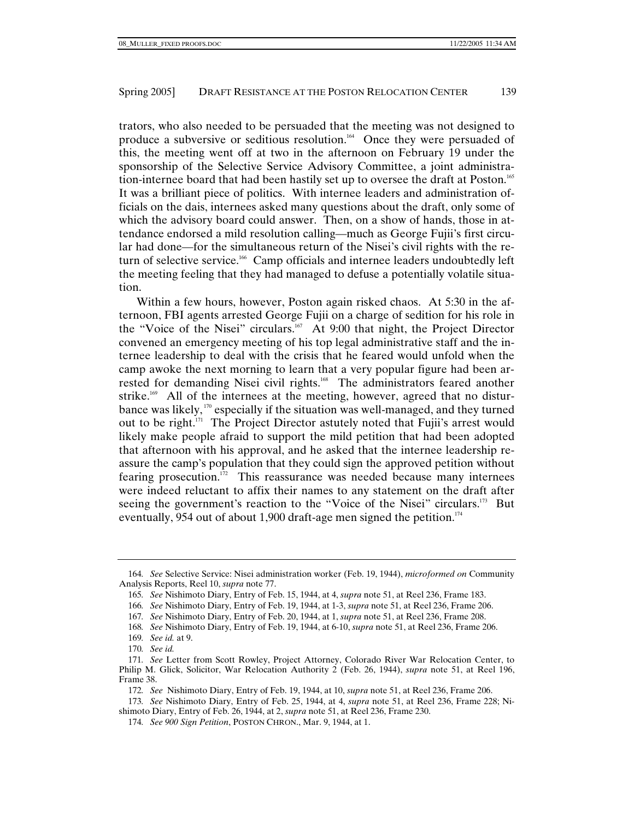trators, who also needed to be persuaded that the meeting was not designed to produce a subversive or seditious resolution.<sup>164</sup> Once they were persuaded of this, the meeting went off at two in the afternoon on February 19 under the sponsorship of the Selective Service Advisory Committee, a joint administration-internee board that had been hastily set up to oversee the draft at Poston.<sup>165</sup> It was a brilliant piece of politics. With internee leaders and administration officials on the dais, internees asked many questions about the draft, only some of which the advisory board could answer. Then, on a show of hands, those in attendance endorsed a mild resolution calling—much as George Fujii's first circular had done—for the simultaneous return of the Nisei's civil rights with the return of selective service.<sup>166</sup> Camp officials and internee leaders undoubtedly left the meeting feeling that they had managed to defuse a potentially volatile situation.

Within a few hours, however, Poston again risked chaos. At 5:30 in the afternoon, FBI agents arrested George Fujii on a charge of sedition for his role in the "Voice of the Nisei" circulars.<sup>167</sup> At 9:00 that night, the Project Director convened an emergency meeting of his top legal administrative staff and the internee leadership to deal with the crisis that he feared would unfold when the camp awoke the next morning to learn that a very popular figure had been arrested for demanding Nisei civil rights.<sup>168</sup> The administrators feared another strike.<sup>169</sup> All of the internees at the meeting, however, agreed that no disturbance was likely, 170 especially if the situation was well-managed, and they turned out to be right.<sup>171</sup> The Project Director astutely noted that Fujii's arrest would likely make people afraid to support the mild petition that had been adopted that afternoon with his approval, and he asked that the internee leadership reassure the camp's population that they could sign the approved petition without fearing prosecution.<sup>172</sup> This reassurance was needed because many internees were indeed reluctant to affix their names to any statement on the draft after seeing the government's reaction to the "Voice of the Nisei" circulars.<sup>173</sup> But eventually, 954 out of about 1,900 draft-age men signed the petition.<sup>174</sup>

<sup>164</sup>*. See* Selective Service: Nisei administration worker (Feb. 19, 1944), *microformed on* Community Analysis Reports, Reel 10, *supra* note 77.

<sup>165</sup>*. See* Nishimoto Diary, Entry of Feb. 15, 1944, at 4, *supra* note 51, at Reel 236, Frame 183.

<sup>166</sup>*. See* Nishimoto Diary, Entry of Feb. 19, 1944, at 1-3, *supra* note 51, at Reel 236, Frame 206.

<sup>167</sup>*. See* Nishimoto Diary, Entry of Feb. 20, 1944, at 1, *supra* note 51, at Reel 236, Frame 208.

<sup>168</sup>*. See* Nishimoto Diary, Entry of Feb. 19, 1944, at 6-10, *supra* note 51, at Reel 236, Frame 206.

<sup>169</sup>*. See id.* at 9.

<sup>170</sup>*. See id.*

<sup>171</sup>*. See* Letter from Scott Rowley, Project Attorney, Colorado River War Relocation Center, to Philip M. Glick, Solicitor, War Relocation Authority 2 (Feb. 26, 1944), *supra* note 51, at Reel 196, Frame 38.

<sup>172</sup>*. See* Nishimoto Diary, Entry of Feb. 19, 1944, at 10, *supra* note 51, at Reel 236, Frame 206.

<sup>173</sup>*. See* Nishimoto Diary, Entry of Feb. 25, 1944, at 4, *supra* note 51, at Reel 236, Frame 228; Nishimoto Diary, Entry of Feb. 26, 1944, at 2, *supra* note 51, at Reel 236, Frame 230.

<sup>174</sup>*. See 900 Sign Petition*, POSTON CHRON., Mar. 9, 1944, at 1.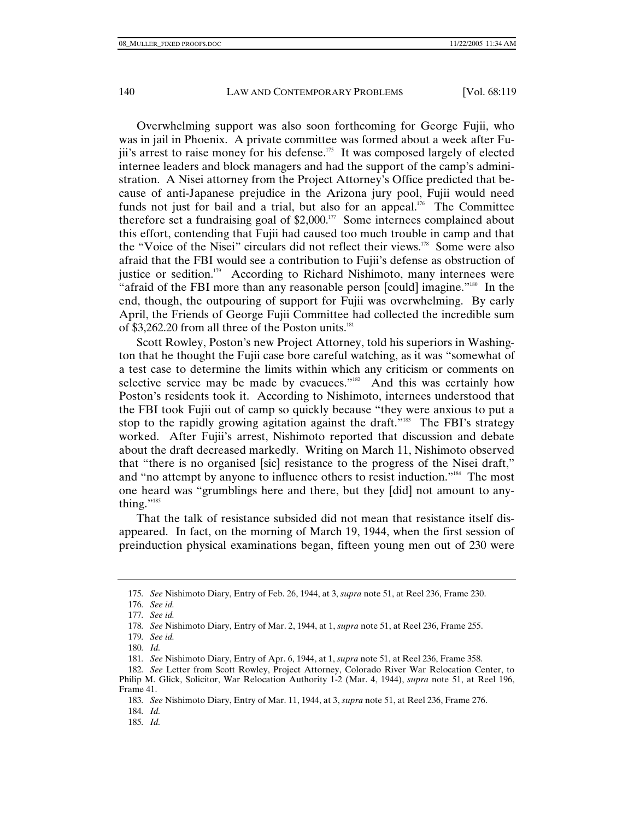Overwhelming support was also soon forthcoming for George Fujii, who was in jail in Phoenix. A private committee was formed about a week after Fujii's arrest to raise money for his defense.<sup>175</sup> It was composed largely of elected internee leaders and block managers and had the support of the camp's administration. A Nisei attorney from the Project Attorney's Office predicted that because of anti-Japanese prejudice in the Arizona jury pool, Fujii would need funds not just for bail and a trial, but also for an appeal.<sup>176</sup> The Committee therefore set a fundraising goal of  $$2,000.<sup>177</sup>$  Some internees complained about this effort, contending that Fujii had caused too much trouble in camp and that the "Voice of the Nisei" circulars did not reflect their views.178 Some were also afraid that the FBI would see a contribution to Fujii's defense as obstruction of justice or sedition.<sup>179</sup> According to Richard Nishimoto, many internees were "afraid of the FBI more than any reasonable person [could] imagine."<sup>180</sup> In the end, though, the outpouring of support for Fujii was overwhelming. By early April, the Friends of George Fujii Committee had collected the incredible sum of  $$3,262.20$  from all three of the Poston units.<sup>181</sup>

Scott Rowley, Poston's new Project Attorney, told his superiors in Washington that he thought the Fujii case bore careful watching, as it was "somewhat of a test case to determine the limits within which any criticism or comments on selective service may be made by evacuees." $\mathbb{R}^2$  And this was certainly how Poston's residents took it. According to Nishimoto, internees understood that the FBI took Fujii out of camp so quickly because "they were anxious to put a stop to the rapidly growing agitation against the draft."<sup>183</sup> The FBI's strategy worked. After Fujii's arrest, Nishimoto reported that discussion and debate about the draft decreased markedly. Writing on March 11, Nishimoto observed that "there is no organised [sic] resistance to the progress of the Nisei draft," and "no attempt by anyone to influence others to resist induction."184 The most one heard was "grumblings here and there, but they [did] not amount to anything."<sup>185</sup>

That the talk of resistance subsided did not mean that resistance itself disappeared. In fact, on the morning of March 19, 1944, when the first session of preinduction physical examinations began, fifteen young men out of 230 were

<sup>175</sup>*. See* Nishimoto Diary, Entry of Feb. 26, 1944, at 3, *supra* note 51, at Reel 236, Frame 230.

<sup>176</sup>*. See id.*

<sup>177</sup>*. See id.*

<sup>178</sup>*. See* Nishimoto Diary, Entry of Mar. 2, 1944, at 1, *supra* note 51, at Reel 236, Frame 255.

<sup>179</sup>*. See id.*

<sup>180</sup>*. Id.*

<sup>181</sup>*. See* Nishimoto Diary, Entry of Apr. 6, 1944, at 1, *supra* note 51, at Reel 236, Frame 358.

<sup>182</sup>*. See* Letter from Scott Rowley, Project Attorney, Colorado River War Relocation Center, to Philip M. Glick, Solicitor, War Relocation Authority 1-2 (Mar. 4, 1944), *supra* note 51, at Reel 196,

Frame 41.

<sup>183</sup>*. See* Nishimoto Diary, Entry of Mar. 11, 1944, at 3, *supra* note 51, at Reel 236, Frame 276.

<sup>184</sup>*. Id.*

<sup>185</sup>*. Id.*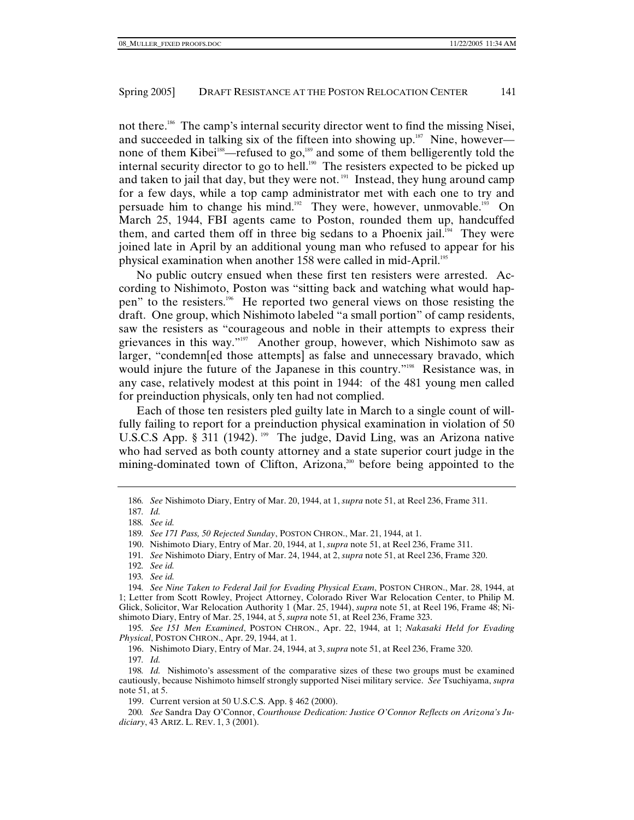not there.186 The camp's internal security director went to find the missing Nisei, and succeeded in talking six of the fifteen into showing up. $187$  Nine, however none of them Kibei<sup>188</sup>—refused to go,<sup>189</sup> and some of them belligerently told the internal security director to go to hell.<sup>190</sup> The resisters expected to be picked up and taken to jail that day, but they were not.<sup>191</sup> Instead, they hung around camp for a few days, while a top camp administrator met with each one to try and persuade him to change his mind.<sup>192</sup> They were, however, unmovable.<sup>193</sup> On March 25, 1944, FBI agents came to Poston, rounded them up, handcuffed them, and carted them off in three big sedans to a Phoenix jail.<sup>194</sup> They were joined late in April by an additional young man who refused to appear for his physical examination when another 158 were called in mid-April.195

No public outcry ensued when these first ten resisters were arrested. According to Nishimoto, Poston was "sitting back and watching what would happen" to the resisters.196 He reported two general views on those resisting the draft. One group, which Nishimoto labeled "a small portion" of camp residents, saw the resisters as "courageous and noble in their attempts to express their grievances in this way."197 Another group, however, which Nishimoto saw as larger, "condemn[ed those attempts] as false and unnecessary bravado, which would injure the future of the Japanese in this country."<sup>198</sup> Resistance was, in any case, relatively modest at this point in 1944: of the 481 young men called for preinduction physicals, only ten had not complied.

Each of those ten resisters pled guilty late in March to a single count of willfully failing to report for a preinduction physical examination in violation of 50 U.S.C.S App. § 311 (1942). <sup>199</sup> The judge, David Ling, was an Arizona native who had served as both county attorney and a state superior court judge in the mining-dominated town of Clifton, Arizona,<sup>200</sup> before being appointed to the

197*. Id.*

<sup>186</sup>*. See* Nishimoto Diary, Entry of Mar. 20, 1944, at 1, *supra* note 51, at Reel 236, Frame 311.

<sup>187</sup>*. Id.*

<sup>188</sup>*. See id.*

<sup>189</sup>*. See 171 Pass, 50 Rejected Sunday*, POSTON CHRON., Mar. 21, 1944, at 1.

 <sup>190.</sup> Nishimoto Diary, Entry of Mar. 20, 1944, at 1, *supra* note 51, at Reel 236, Frame 311.

<sup>191</sup>*. See* Nishimoto Diary, Entry of Mar. 24, 1944, at 2, *supra* note 51, at Reel 236, Frame 320.

<sup>192</sup>*. See id.*

<sup>193</sup>*. See id.*

<sup>194</sup>*. See Nine Taken to Federal Jail for Evading Physical Exam*, POSTON CHRON., Mar. 28, 1944, at 1; Letter from Scott Rowley, Project Attorney, Colorado River War Relocation Center, to Philip M. Glick, Solicitor, War Relocation Authority 1 (Mar. 25, 1944), *supra* note 51, at Reel 196, Frame 48; Nishimoto Diary, Entry of Mar. 25, 1944, at 5, *supra* note 51, at Reel 236, Frame 323.

<sup>195</sup>*. See 151 Men Examined*, POSTON CHRON., Apr. 22, 1944, at 1; *Nakasaki Held for Evading Physical*, POSTON CHRON., Apr. 29, 1944, at 1.

 <sup>196.</sup> Nishimoto Diary, Entry of Mar. 24, 1944, at 3, *supra* note 51, at Reel 236, Frame 320.

<sup>198</sup>*. Id.* Nishimoto's assessment of the comparative sizes of these two groups must be examined cautiously, because Nishimoto himself strongly supported Nisei military service. *See* Tsuchiyama, *supra* note 51, at 5.

 <sup>199.</sup> Current version at 50 U.S.C.S. App. § 462 (2000).

<sup>200</sup>*. See* Sandra Day O'Connor, *Courthouse Dedication: Justice O'Connor Reflects on Arizona's Judiciary*, 43 ARIZ. L. REV. 1, 3 (2001).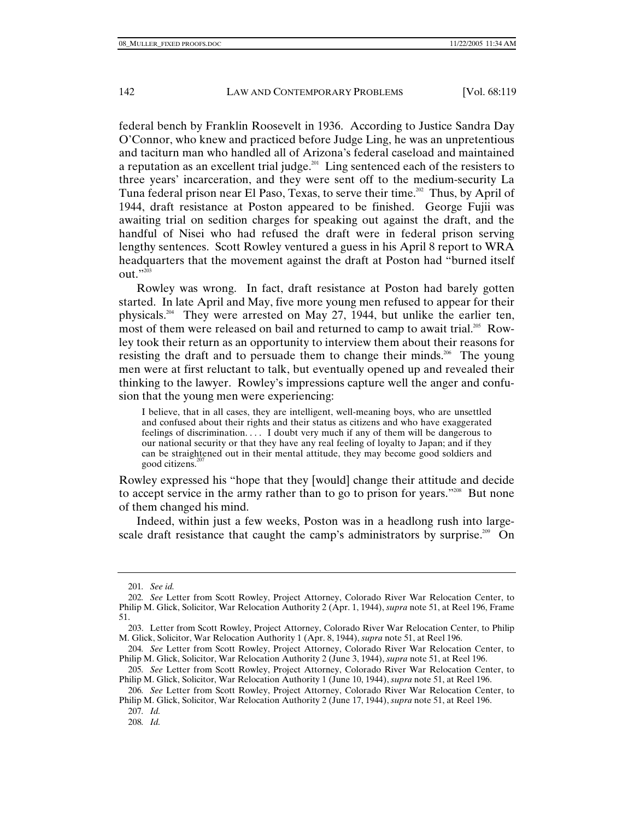federal bench by Franklin Roosevelt in 1936. According to Justice Sandra Day O'Connor, who knew and practiced before Judge Ling, he was an unpretentious and taciturn man who handled all of Arizona's federal caseload and maintained a reputation as an excellent trial judge.<sup>201</sup> Ling sentenced each of the resisters to three years' incarceration, and they were sent off to the medium-security La Tuna federal prison near El Paso, Texas, to serve their time.<sup>202</sup> Thus, by April of 1944, draft resistance at Poston appeared to be finished. George Fujii was awaiting trial on sedition charges for speaking out against the draft, and the handful of Nisei who had refused the draft were in federal prison serving lengthy sentences. Scott Rowley ventured a guess in his April 8 report to WRA headquarters that the movement against the draft at Poston had "burned itself  $\text{out.}$ "

Rowley was wrong. In fact, draft resistance at Poston had barely gotten started. In late April and May, five more young men refused to appear for their physicals.204 They were arrested on May 27, 1944, but unlike the earlier ten, most of them were released on bail and returned to camp to await trial.<sup>205</sup> Rowley took their return as an opportunity to interview them about their reasons for resisting the draft and to persuade them to change their minds.<sup>206</sup> The young men were at first reluctant to talk, but eventually opened up and revealed their thinking to the lawyer. Rowley's impressions capture well the anger and confusion that the young men were experiencing:

I believe, that in all cases, they are intelligent, well-meaning boys, who are unsettled and confused about their rights and their status as citizens and who have exaggerated feelings of discrimination. . . . I doubt very much if any of them will be dangerous to our national security or that they have any real feeling of loyalty to Japan; and if they can be straightened out in their mental attitude, they may become good soldiers and good citizens. $20$ 

Rowley expressed his "hope that they [would] change their attitude and decide to accept service in the army rather than to go to prison for years."<sup>208</sup> But none of them changed his mind.

Indeed, within just a few weeks, Poston was in a headlong rush into largescale draft resistance that caught the camp's administrators by surprise.<sup>209</sup> On

<sup>201</sup>*. See id.*

<sup>202</sup>*. See* Letter from Scott Rowley, Project Attorney, Colorado River War Relocation Center, to Philip M. Glick, Solicitor, War Relocation Authority 2 (Apr. 1, 1944), *supra* note 51, at Reel 196, Frame 51.

 <sup>203.</sup> Letter from Scott Rowley, Project Attorney, Colorado River War Relocation Center, to Philip M. Glick, Solicitor, War Relocation Authority 1 (Apr. 8, 1944), *supra* note 51, at Reel 196.

<sup>204</sup>*. See* Letter from Scott Rowley, Project Attorney, Colorado River War Relocation Center, to Philip M. Glick, Solicitor, War Relocation Authority 2 (June 3, 1944), *supra* note 51, at Reel 196.

<sup>205</sup>*. See* Letter from Scott Rowley, Project Attorney, Colorado River War Relocation Center, to Philip M. Glick, Solicitor, War Relocation Authority 1 (June 10, 1944), *supra* note 51, at Reel 196.

<sup>206</sup>*. See* Letter from Scott Rowley, Project Attorney, Colorado River War Relocation Center, to Philip M. Glick, Solicitor, War Relocation Authority 2 (June 17, 1944), *supra* note 51, at Reel 196.

<sup>207</sup>*. Id.*

<sup>208</sup>*. Id.*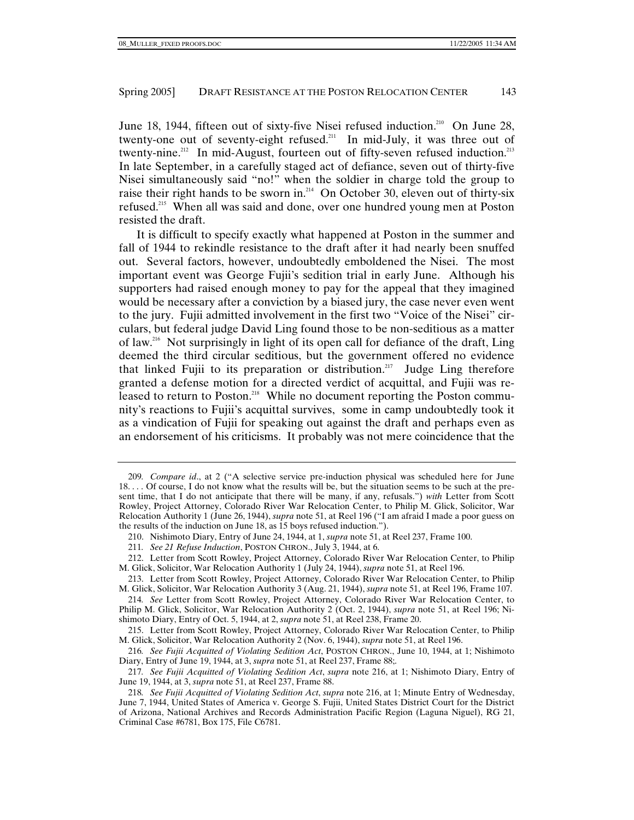June 18, 1944, fifteen out of sixty-five Nisei refused induction.<sup>210</sup> On June 28, twenty-one out of seventy-eight refused.<sup>211</sup> In mid-July, it was three out of twenty-nine.<sup>212</sup> In mid-August, fourteen out of fifty-seven refused induction.<sup>213</sup> In late September, in a carefully staged act of defiance, seven out of thirty-five Nisei simultaneously said "no!" when the soldier in charge told the group to raise their right hands to be sworn in.<sup>214</sup> On October 30, eleven out of thirty-six refused.215 When all was said and done, over one hundred young men at Poston resisted the draft.

It is difficult to specify exactly what happened at Poston in the summer and fall of 1944 to rekindle resistance to the draft after it had nearly been snuffed out. Several factors, however, undoubtedly emboldened the Nisei. The most important event was George Fujii's sedition trial in early June. Although his supporters had raised enough money to pay for the appeal that they imagined would be necessary after a conviction by a biased jury, the case never even went to the jury. Fujii admitted involvement in the first two "Voice of the Nisei" circulars, but federal judge David Ling found those to be non-seditious as a matter of law.216 Not surprisingly in light of its open call for defiance of the draft, Ling deemed the third circular seditious, but the government offered no evidence that linked Fujii to its preparation or distribution.<sup>217</sup> Judge Ling therefore granted a defense motion for a directed verdict of acquittal, and Fujii was released to return to Poston.<sup>218</sup> While no document reporting the Poston community's reactions to Fujii's acquittal survives, some in camp undoubtedly took it as a vindication of Fujii for speaking out against the draft and perhaps even as an endorsement of his criticisms. It probably was not mere coincidence that the

<sup>209</sup>*. Compare id*., at 2 ("A selective service pre-induction physical was scheduled here for June 18. . . . Of course, I do not know what the results will be, but the situation seems to be such at the present time, that I do not anticipate that there will be many, if any, refusals.") *with* Letter from Scott Rowley, Project Attorney, Colorado River War Relocation Center, to Philip M. Glick, Solicitor, War Relocation Authority 1 (June 26, 1944), *supra* note 51, at Reel 196 ("I am afraid I made a poor guess on the results of the induction on June 18, as 15 boys refused induction.").

 <sup>210.</sup> Nishimoto Diary, Entry of June 24, 1944, at 1, *supra* note 51, at Reel 237, Frame 100.

<sup>211</sup>*. See 21 Refuse Induction*, POSTON CHRON., July 3, 1944, at 6.

 <sup>212.</sup> Letter from Scott Rowley, Project Attorney, Colorado River War Relocation Center, to Philip M. Glick, Solicitor, War Relocation Authority 1 (July 24, 1944), *supra* note 51, at Reel 196.

 <sup>213.</sup> Letter from Scott Rowley, Project Attorney, Colorado River War Relocation Center, to Philip M. Glick, Solicitor, War Relocation Authority 3 (Aug. 21, 1944), *supra* note 51, at Reel 196, Frame 107.

<sup>214</sup>*. See* Letter from Scott Rowley, Project Attorney, Colorado River War Relocation Center, to Philip M. Glick, Solicitor, War Relocation Authority 2 (Oct. 2, 1944), *supra* note 51, at Reel 196; Nishimoto Diary, Entry of Oct. 5, 1944, at 2, *supra* note 51, at Reel 238, Frame 20.

 <sup>215.</sup> Letter from Scott Rowley, Project Attorney, Colorado River War Relocation Center, to Philip M. Glick, Solicitor, War Relocation Authority 2 (Nov. 6, 1944), *supra* note 51, at Reel 196.

<sup>216</sup>*. See Fujii Acquitted of Violating Sedition Act*, POSTON CHRON., June 10, 1944, at 1; Nishimoto Diary, Entry of June 19, 1944, at 3, *supra* note 51, at Reel 237, Frame 88;.

<sup>217</sup>*. See Fujii Acquitted of Violating Sedition Act*, *supra* note 216, at 1; Nishimoto Diary, Entry of June 19, 1944, at 3, *supra* note 51, at Reel 237, Frame 88.

<sup>218</sup>*. See Fujii Acquitted of Violating Sedition Act*, *supra* note 216, at 1; Minute Entry of Wednesday, June 7, 1944, United States of America v. George S. Fujii, United States District Court for the District of Arizona, National Archives and Records Administration Pacific Region (Laguna Niguel), RG 21, Criminal Case #6781, Box 175, File C6781.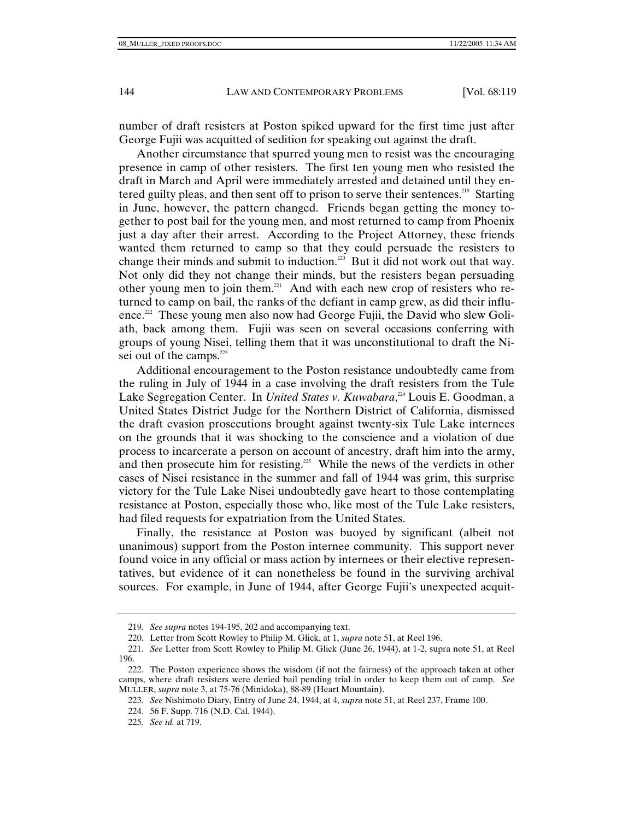number of draft resisters at Poston spiked upward for the first time just after George Fujii was acquitted of sedition for speaking out against the draft.

Another circumstance that spurred young men to resist was the encouraging presence in camp of other resisters. The first ten young men who resisted the draft in March and April were immediately arrested and detained until they entered guilty pleas, and then sent off to prison to serve their sentences.<sup>219</sup> Starting in June, however, the pattern changed. Friends began getting the money together to post bail for the young men, and most returned to camp from Phoenix just a day after their arrest. According to the Project Attorney, these friends wanted them returned to camp so that they could persuade the resisters to change their minds and submit to induction.<sup>220</sup> But it did not work out that way. Not only did they not change their minds, but the resisters began persuading other young men to join them.<sup>221</sup> And with each new crop of resisters who returned to camp on bail, the ranks of the defiant in camp grew, as did their influence.<sup>222</sup> These young men also now had George Fujii, the David who slew Goliath, back among them. Fujii was seen on several occasions conferring with groups of young Nisei, telling them that it was unconstitutional to draft the Nisei out of the camps.<sup>223</sup>

Additional encouragement to the Poston resistance undoubtedly came from the ruling in July of 1944 in a case involving the draft resisters from the Tule Lake Segregation Center. In *United States v. Kuwabara*, 224 Louis E. Goodman, a United States District Judge for the Northern District of California, dismissed the draft evasion prosecutions brought against twenty-six Tule Lake internees on the grounds that it was shocking to the conscience and a violation of due process to incarcerate a person on account of ancestry, draft him into the army, and then prosecute him for resisting.<sup>225</sup> While the news of the verdicts in other cases of Nisei resistance in the summer and fall of 1944 was grim, this surprise victory for the Tule Lake Nisei undoubtedly gave heart to those contemplating resistance at Poston, especially those who, like most of the Tule Lake resisters, had filed requests for expatriation from the United States.

Finally, the resistance at Poston was buoyed by significant (albeit not unanimous) support from the Poston internee community. This support never found voice in any official or mass action by internees or their elective representatives, but evidence of it can nonetheless be found in the surviving archival sources. For example, in June of 1944, after George Fujii's unexpected acquit-

<sup>219</sup>*. See supra* notes 194-195, 202 and accompanying text.

 <sup>220.</sup> Letter from Scott Rowley to Philip M. Glick, at 1, *supra* note 51, at Reel 196.

<sup>221</sup>*. See* Letter from Scott Rowley to Philip M. Glick (June 26, 1944), at 1-2, supra note 51, at Reel 196.

 <sup>222.</sup> The Poston experience shows the wisdom (if not the fairness) of the approach taken at other camps, where draft resisters were denied bail pending trial in order to keep them out of camp. *See* MULLER, *supra* note 3, at 75-76 (Minidoka), 88-89 (Heart Mountain).

<sup>223</sup>*. See* Nishimoto Diary, Entry of June 24, 1944, at 4, *supra* note 51, at Reel 237, Frame 100.

 <sup>224. 56</sup> F. Supp. 716 (N.D. Cal. 1944).

<sup>225</sup>*. See id.* at 719.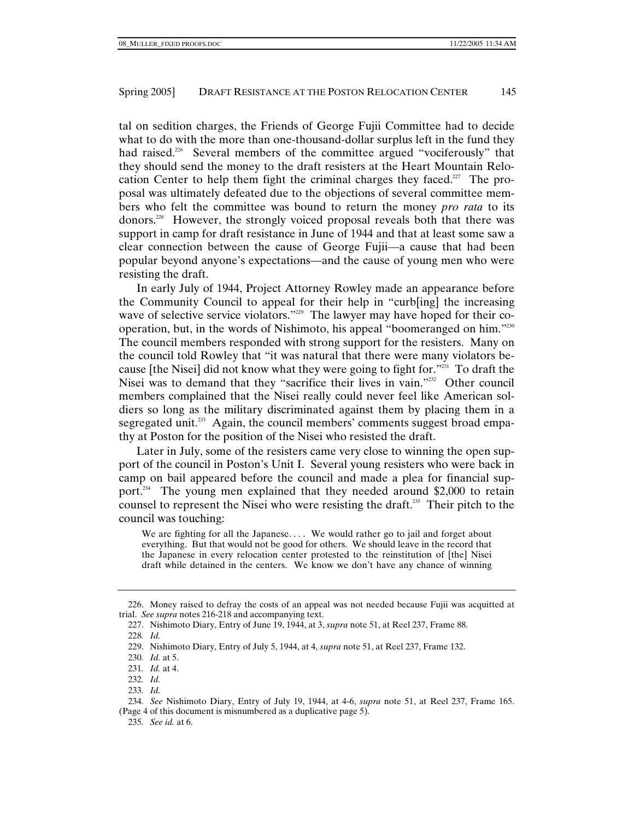tal on sedition charges, the Friends of George Fujii Committee had to decide what to do with the more than one-thousand-dollar surplus left in the fund they had raised.<sup>226</sup> Several members of the committee argued "vociferously" that they should send the money to the draft resisters at the Heart Mountain Relocation Center to help them fight the criminal charges they faced.<sup>227</sup> The proposal was ultimately defeated due to the objections of several committee members who felt the committee was bound to return the money *pro rata* to its donors.228 However, the strongly voiced proposal reveals both that there was support in camp for draft resistance in June of 1944 and that at least some saw a clear connection between the cause of George Fujii—a cause that had been popular beyond anyone's expectations—and the cause of young men who were resisting the draft.

In early July of 1944, Project Attorney Rowley made an appearance before the Community Council to appeal for their help in "curb[ing] the increasing wave of selective service violators."<sup>229</sup> The lawyer may have hoped for their cooperation, but, in the words of Nishimoto, his appeal "boomeranged on him."230 The council members responded with strong support for the resisters. Many on the council told Rowley that "it was natural that there were many violators because [the Nisei] did not know what they were going to fight for."231 To draft the Nisei was to demand that they "sacrifice their lives in vain."<sup>232</sup> Other council members complained that the Nisei really could never feel like American soldiers so long as the military discriminated against them by placing them in a segregated unit.<sup>233</sup> Again, the council members' comments suggest broad empathy at Poston for the position of the Nisei who resisted the draft.

Later in July, some of the resisters came very close to winning the open support of the council in Poston's Unit I. Several young resisters who were back in camp on bail appeared before the council and made a plea for financial support.<sup>234</sup> The young men explained that they needed around \$2,000 to retain counsel to represent the Nisei who were resisting the draft.<sup>235</sup> Their pitch to the council was touching:

We are fighting for all the Japanese.... We would rather go to jail and forget about everything. But that would not be good for others. We should leave in the record that the Japanese in every relocation center protested to the reinstitution of [the] Nisei draft while detained in the centers. We know we don't have any chance of winning

 <sup>226.</sup> Money raised to defray the costs of an appeal was not needed because Fujii was acquitted at trial. *See supra* notes 216-218 and accompanying text.

 <sup>227.</sup> Nishimoto Diary, Entry of June 19, 1944, at 3, *supra* note 51, at Reel 237, Frame 88. 228*. Id.*

 <sup>229.</sup> Nishimoto Diary, Entry of July 5, 1944, at 4, *supra* note 51, at Reel 237, Frame 132.

<sup>230</sup>*. Id.* at 5.

<sup>231</sup>*. Id.* at 4.

<sup>232</sup>*. Id.*

<sup>233</sup>*. Id.*

<sup>234</sup>*. See* Nishimoto Diary, Entry of July 19, 1944, at 4-6, *supra* note 51, at Reel 237, Frame 165. (Page 4 of this document is misnumbered as a duplicative page 5).

<sup>235</sup>*. See id.* at 6.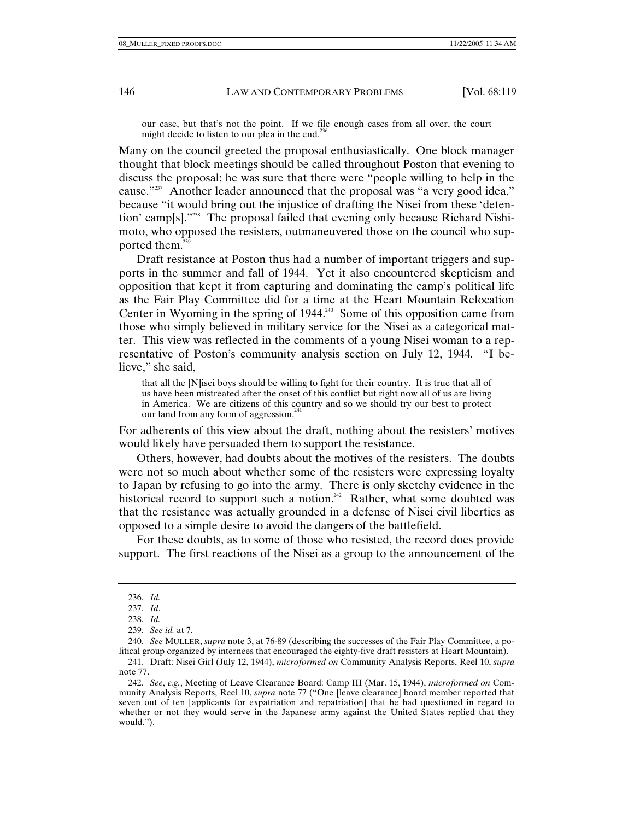our case, but that's not the point. If we file enough cases from all over, the court might decide to listen to our plea in the end.<sup>236</sup>

Many on the council greeted the proposal enthusiastically. One block manager thought that block meetings should be called throughout Poston that evening to discuss the proposal; he was sure that there were "people willing to help in the cause."<sup>237</sup> Another leader announced that the proposal was "a very good idea," because "it would bring out the injustice of drafting the Nisei from these 'detention' camp[s]."238 The proposal failed that evening only because Richard Nishimoto, who opposed the resisters, outmaneuvered those on the council who supported them.<sup>239</sup>

Draft resistance at Poston thus had a number of important triggers and supports in the summer and fall of 1944. Yet it also encountered skepticism and opposition that kept it from capturing and dominating the camp's political life as the Fair Play Committee did for a time at the Heart Mountain Relocation Center in Wyoming in the spring of  $1944<sup>240</sup>$  Some of this opposition came from those who simply believed in military service for the Nisei as a categorical matter. This view was reflected in the comments of a young Nisei woman to a representative of Poston's community analysis section on July 12, 1944. "I believe," she said,

that all the [N]isei boys should be willing to fight for their country. It is true that all of us have been mistreated after the onset of this conflict but right now all of us are living in America. We are citizens of this country and so we should try our best to protect our land from any form of aggression.<sup>241</sup>

For adherents of this view about the draft, nothing about the resisters' motives would likely have persuaded them to support the resistance.

Others, however, had doubts about the motives of the resisters. The doubts were not so much about whether some of the resisters were expressing loyalty to Japan by refusing to go into the army. There is only sketchy evidence in the historical record to support such a notion.<sup>242</sup> Rather, what some doubted was that the resistance was actually grounded in a defense of Nisei civil liberties as opposed to a simple desire to avoid the dangers of the battlefield.

For these doubts, as to some of those who resisted, the record does provide support. The first reactions of the Nisei as a group to the announcement of the

<sup>236</sup>*. Id.*

<sup>237</sup>*. Id*.

<sup>238</sup>*. Id.*

<sup>239</sup>*. See id.* at 7.

<sup>240</sup>*. See* MULLER, *supra* note 3, at 76-89 (describing the successes of the Fair Play Committee, a political group organized by internees that encouraged the eighty-five draft resisters at Heart Mountain).

 <sup>241.</sup> Draft: Nisei Girl (July 12, 1944), *microformed on* Community Analysis Reports, Reel 10, *supra* note 77.

<sup>242</sup>*. See*, *e.g.*, Meeting of Leave Clearance Board: Camp III (Mar. 15, 1944), *microformed on* Community Analysis Reports, Reel 10, *supra* note 77 ("One [leave clearance] board member reported that seven out of ten [applicants for expatriation and repatriation] that he had questioned in regard to whether or not they would serve in the Japanese army against the United States replied that they would.").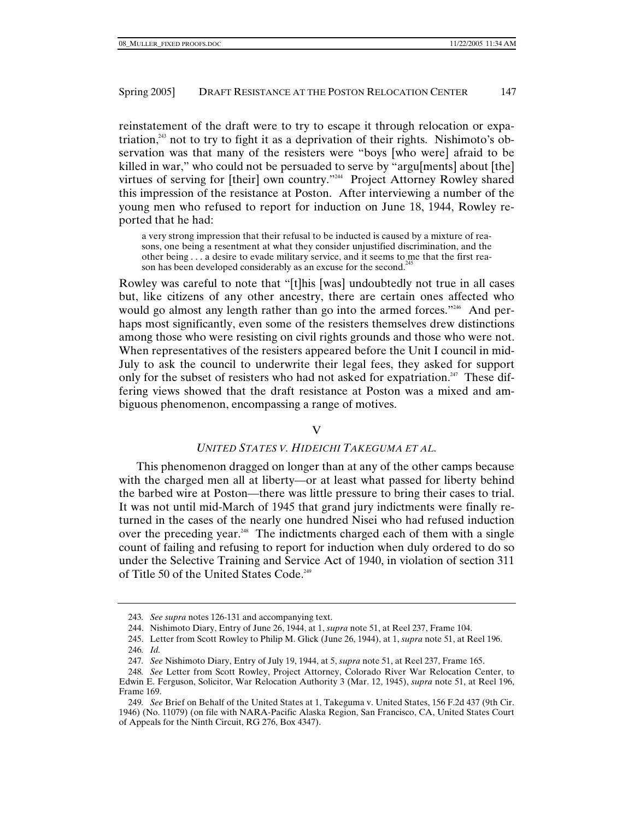reinstatement of the draft were to try to escape it through relocation or expatriation,<sup>243</sup> not to try to fight it as a deprivation of their rights. Nishimoto's observation was that many of the resisters were "boys [who were] afraid to be killed in war," who could not be persuaded to serve by "argu[ments] about [the] virtues of serving for [their] own country."244 Project Attorney Rowley shared this impression of the resistance at Poston. After interviewing a number of the young men who refused to report for induction on June 18, 1944, Rowley reported that he had:

a very strong impression that their refusal to be inducted is caused by a mixture of reasons, one being a resentment at what they consider unjustified discrimination, and the other being . . . a desire to evade military service, and it seems to me that the first reason has been developed considerably as an excuse for the second.<sup>2</sup>

Rowley was careful to note that "[t]his [was] undoubtedly not true in all cases but, like citizens of any other ancestry, there are certain ones affected who would go almost any length rather than go into the armed forces."<sup>246</sup> And perhaps most significantly, even some of the resisters themselves drew distinctions among those who were resisting on civil rights grounds and those who were not. When representatives of the resisters appeared before the Unit I council in mid-July to ask the council to underwrite their legal fees, they asked for support only for the subset of resisters who had not asked for expatriation.<sup>247</sup> These differing views showed that the draft resistance at Poston was a mixed and ambiguous phenomenon, encompassing a range of motives.

## $\overline{V}$

## *UNITED STATES V. HIDEICHI TAKEGUMA ET AL.*

This phenomenon dragged on longer than at any of the other camps because with the charged men all at liberty—or at least what passed for liberty behind the barbed wire at Poston—there was little pressure to bring their cases to trial. It was not until mid-March of 1945 that grand jury indictments were finally returned in the cases of the nearly one hundred Nisei who had refused induction over the preceding year.<sup>248</sup> The indictments charged each of them with a single count of failing and refusing to report for induction when duly ordered to do so under the Selective Training and Service Act of 1940, in violation of section 311 of Title 50 of the United States Code.<sup>249</sup>

<sup>243</sup>*. See supra* notes 126-131 and accompanying text.

 <sup>244.</sup> Nishimoto Diary, Entry of June 26, 1944, at 1, *supra* note 51, at Reel 237, Frame 104.

 <sup>245.</sup> Letter from Scott Rowley to Philip M. Glick (June 26, 1944), at 1, *supra* note 51, at Reel 196. 246*. Id.*

<sup>247</sup>*. See* Nishimoto Diary, Entry of July 19, 1944, at 5, *supra* note 51, at Reel 237, Frame 165.

<sup>248</sup>*. See* Letter from Scott Rowley, Project Attorney, Colorado River War Relocation Center, to Edwin E. Ferguson, Solicitor, War Relocation Authority 3 (Mar. 12, 1945), *supra* note 51, at Reel 196, Frame 169.

<sup>249</sup>*. See* Brief on Behalf of the United States at 1, Takeguma v. United States, 156 F.2d 437 (9th Cir. 1946) (No. 11079) (on file with NARA-Pacific Alaska Region, San Francisco, CA, United States Court of Appeals for the Ninth Circuit, RG 276, Box 4347).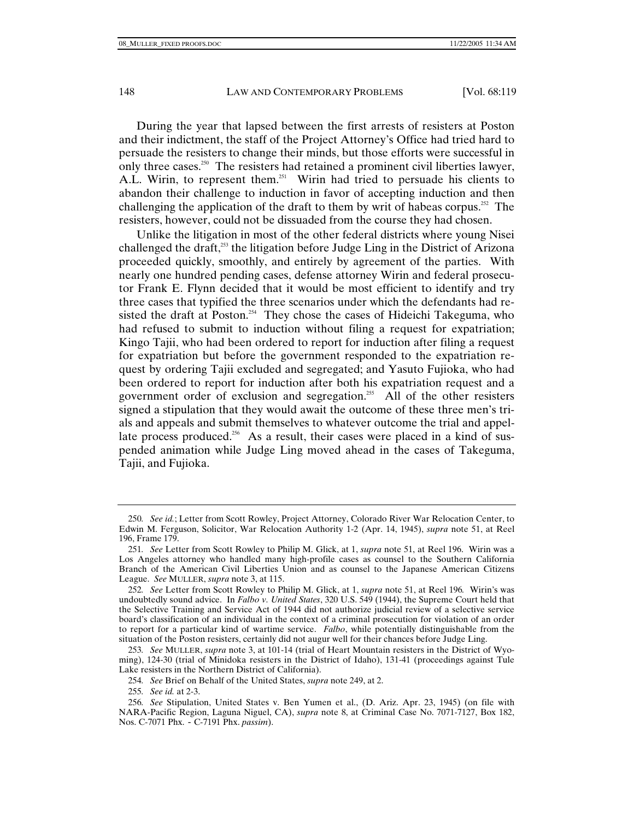During the year that lapsed between the first arrests of resisters at Poston and their indictment, the staff of the Project Attorney's Office had tried hard to persuade the resisters to change their minds, but those efforts were successful in only three cases.<sup>250</sup> The resisters had retained a prominent civil liberties lawyer, A.L. Wirin, to represent them.<sup>251</sup> Wirin had tried to persuade his clients to abandon their challenge to induction in favor of accepting induction and then challenging the application of the draft to them by writ of habeas corpus.<sup>252</sup> The resisters, however, could not be dissuaded from the course they had chosen.

Unlike the litigation in most of the other federal districts where young Nisei challenged the draft,<sup>253</sup> the litigation before Judge Ling in the District of Arizona proceeded quickly, smoothly, and entirely by agreement of the parties. With nearly one hundred pending cases, defense attorney Wirin and federal prosecutor Frank E. Flynn decided that it would be most efficient to identify and try three cases that typified the three scenarios under which the defendants had resisted the draft at Poston.<sup>254</sup> They chose the cases of Hideichi Takeguma, who had refused to submit to induction without filing a request for expatriation; Kingo Tajii, who had been ordered to report for induction after filing a request for expatriation but before the government responded to the expatriation request by ordering Tajii excluded and segregated; and Yasuto Fujioka, who had been ordered to report for induction after both his expatriation request and a government order of exclusion and segregation.<sup>255</sup> All of the other resisters signed a stipulation that they would await the outcome of these three men's trials and appeals and submit themselves to whatever outcome the trial and appellate process produced.<sup>256</sup> As a result, their cases were placed in a kind of suspended animation while Judge Ling moved ahead in the cases of Takeguma, Tajii, and Fujioka.

<sup>250</sup>*. See id.*; Letter from Scott Rowley, Project Attorney, Colorado River War Relocation Center, to Edwin M. Ferguson, Solicitor, War Relocation Authority 1-2 (Apr. 14, 1945), *supra* note 51, at Reel 196, Frame 179.

<sup>251</sup>*. See* Letter from Scott Rowley to Philip M. Glick, at 1, *supra* note 51, at Reel 196. Wirin was a Los Angeles attorney who handled many high-profile cases as counsel to the Southern California Branch of the American Civil Liberties Union and as counsel to the Japanese American Citizens League. *See* MULLER, *supra* note 3, at 115.

<sup>252</sup>*. See* Letter from Scott Rowley to Philip M. Glick, at 1, *supra* note 51, at Reel 196*.* Wirin's was undoubtedly sound advice. In *Falbo v. United States*, 320 U.S. 549 (1944), the Supreme Court held that the Selective Training and Service Act of 1944 did not authorize judicial review of a selective service board's classification of an individual in the context of a criminal prosecution for violation of an order to report for a particular kind of wartime service. *Falbo*, while potentially distinguishable from the situation of the Poston resisters, certainly did not augur well for their chances before Judge Ling.

<sup>253</sup>*. See* MULLER, *supra* note 3, at 101-14 (trial of Heart Mountain resisters in the District of Wyoming), 124-30 (trial of Minidoka resisters in the District of Idaho), 131-41 (proceedings against Tule Lake resisters in the Northern District of California).

<sup>254</sup>*. See* Brief on Behalf of the United States, *supra* note 249, at 2.

<sup>255</sup>*. See id.* at 2-3.

<sup>256</sup>*. See* Stipulation, United States v. Ben Yumen et al., (D. Ariz. Apr. 23, 1945) (on file with NARA-Pacific Region, Laguna Niguel, CA), *supra* note 8, at Criminal Case No. 7071-7127, Box 182, Nos. C-7071 Phx. - C-7191 Phx. *passim*).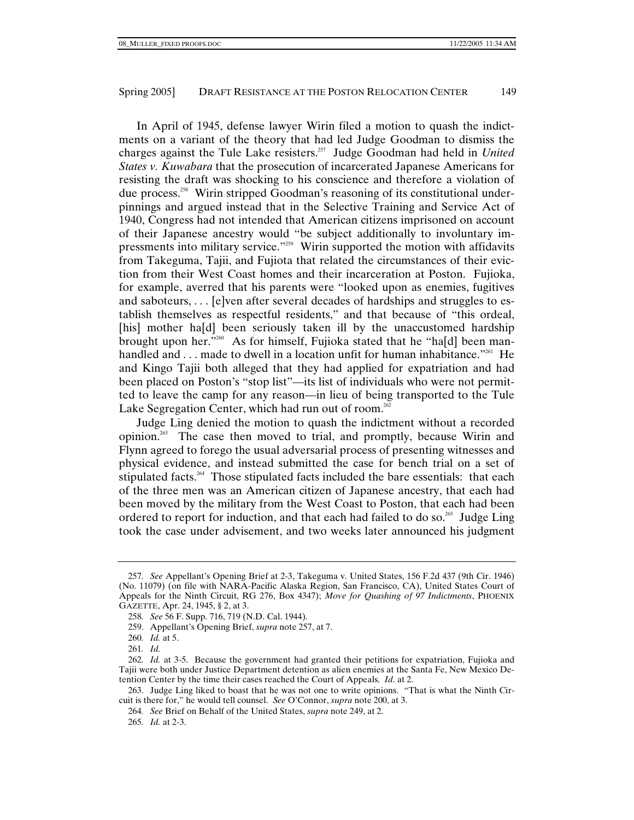In April of 1945, defense lawyer Wirin filed a motion to quash the indictments on a variant of the theory that had led Judge Goodman to dismiss the charges against the Tule Lake resisters.257 Judge Goodman had held in *United States v. Kuwabara* that the prosecution of incarcerated Japanese Americans for resisting the draft was shocking to his conscience and therefore a violation of due process.258 Wirin stripped Goodman's reasoning of its constitutional underpinnings and argued instead that in the Selective Training and Service Act of 1940, Congress had not intended that American citizens imprisoned on account of their Japanese ancestry would "be subject additionally to involuntary impressments into military service."259 Wirin supported the motion with affidavits from Takeguma, Tajii, and Fujiota that related the circumstances of their eviction from their West Coast homes and their incarceration at Poston. Fujioka, for example, averred that his parents were "looked upon as enemies, fugitives and saboteurs, . . . [e]ven after several decades of hardships and struggles to establish themselves as respectful residents," and that because of "this ordeal, [his] mother ha[d] been seriously taken ill by the unaccustomed hardship brought upon her."260 As for himself, Fujioka stated that he "ha[d] been manhandled and  $\dots$  made to dwell in a location unfit for human inhabitance.<sup>"261</sup> He and Kingo Tajii both alleged that they had applied for expatriation and had been placed on Poston's "stop list"—its list of individuals who were not permitted to leave the camp for any reason—in lieu of being transported to the Tule Lake Segregation Center, which had run out of room.<sup>262</sup>

Judge Ling denied the motion to quash the indictment without a recorded opinion.263 The case then moved to trial, and promptly, because Wirin and Flynn agreed to forego the usual adversarial process of presenting witnesses and physical evidence, and instead submitted the case for bench trial on a set of stipulated facts.<sup>264</sup> Those stipulated facts included the bare essentials: that each of the three men was an American citizen of Japanese ancestry, that each had been moved by the military from the West Coast to Poston, that each had been ordered to report for induction, and that each had failed to do so.<sup>265</sup> Judge Ling took the case under advisement, and two weeks later announced his judgment

<sup>257</sup>*. See* Appellant's Opening Brief at 2-3, Takeguma v. United States, 156 F.2d 437 (9th Cir. 1946) (No. 11079) (on file with NARA-Pacific Alaska Region, San Francisco, CA), United States Court of Appeals for the Ninth Circuit, RG 276, Box 4347); *Move for Quashing of 97 Indictments*, PHOENIX GAZETTE, Apr. 24, 1945, § 2, at 3.

<sup>258</sup>*. See* 56 F. Supp. 716, 719 (N.D. Cal. 1944).

 <sup>259.</sup> Appellant's Opening Brief, *supra* note 257, at 7.

<sup>260</sup>*. Id.* at 5.

<sup>261</sup>*. Id.*

<sup>262</sup>*. Id.* at 3-5. Because the government had granted their petitions for expatriation, Fujioka and Tajii were both under Justice Department detention as alien enemies at the Santa Fe, New Mexico Detention Center by the time their cases reached the Court of Appeals. *Id*. at 2.

 <sup>263.</sup> Judge Ling liked to boast that he was not one to write opinions. "That is what the Ninth Circuit is there for," he would tell counsel. *See* O'Connor, *supra* note 200, at 3.

<sup>264</sup>*. See* Brief on Behalf of the United States, *supra* note 249, at 2.

<sup>265</sup>*. Id.* at 2-3.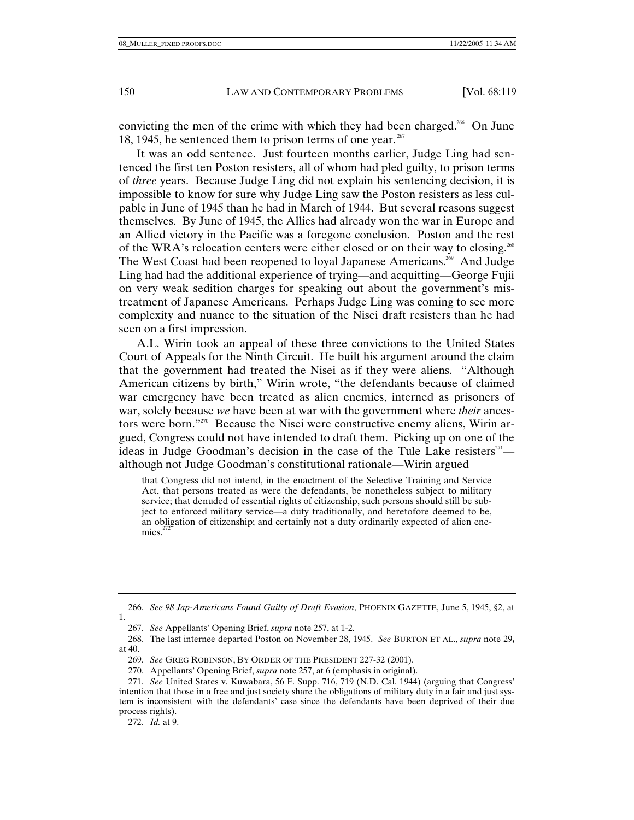convicting the men of the crime with which they had been charged.<sup>266</sup> On June 18, 1945, he sentenced them to prison terms of one year.  $267$ 

It was an odd sentence. Just fourteen months earlier, Judge Ling had sentenced the first ten Poston resisters, all of whom had pled guilty, to prison terms of *three* years. Because Judge Ling did not explain his sentencing decision, it is impossible to know for sure why Judge Ling saw the Poston resisters as less culpable in June of 1945 than he had in March of 1944. But several reasons suggest themselves. By June of 1945, the Allies had already won the war in Europe and an Allied victory in the Pacific was a foregone conclusion. Poston and the rest of the WRA's relocation centers were either closed or on their way to closing.<sup>268</sup> The West Coast had been reopened to loyal Japanese Americans.<sup>269</sup> And Judge Ling had had the additional experience of trying—and acquitting—George Fujii on very weak sedition charges for speaking out about the government's mistreatment of Japanese Americans. Perhaps Judge Ling was coming to see more complexity and nuance to the situation of the Nisei draft resisters than he had seen on a first impression.

A.L. Wirin took an appeal of these three convictions to the United States Court of Appeals for the Ninth Circuit. He built his argument around the claim that the government had treated the Nisei as if they were aliens. "Although American citizens by birth," Wirin wrote, "the defendants because of claimed war emergency have been treated as alien enemies, interned as prisoners of war, solely because *we* have been at war with the government where *their* ancestors were born."270 Because the Nisei were constructive enemy aliens, Wirin argued, Congress could not have intended to draft them. Picking up on one of the ideas in Judge Goodman's decision in the case of the Tule Lake resisters $^{27}$ although not Judge Goodman's constitutional rationale—Wirin argued

that Congress did not intend, in the enactment of the Selective Training and Service Act, that persons treated as were the defendants, be nonetheless subject to military service; that denuded of essential rights of citizenship, such persons should still be subject to enforced military service—a duty traditionally, and heretofore deemed to be, an obligation of citizenship; and certainly not a duty ordinarily expected of alien enemies. $^{272}$ 

<sup>266</sup>*. See 98 Jap-Americans Found Guilty of Draft Evasion*, PHOENIX GAZETTE, June 5, 1945, §2, at 1.

<sup>267</sup>*. See* Appellants' Opening Brief, *supra* note 257, at 1-2.

 <sup>268.</sup> The last internee departed Poston on November 28, 1945. *See* BURTON ET AL., *supra* note 29**,**  at 40.

<sup>269</sup>*. See* GREG ROBINSON, BY ORDER OF THE PRESIDENT 227-32 (2001).

 <sup>270.</sup> Appellants' Opening Brief, *supra* note 257, at 6 (emphasis in original).

<sup>271</sup>*. See* United States v. Kuwabara, 56 F. Supp. 716, 719 (N.D. Cal. 1944) (arguing that Congress' intention that those in a free and just society share the obligations of military duty in a fair and just system is inconsistent with the defendants' case since the defendants have been deprived of their due process rights).

<sup>272</sup>*. Id.* at 9.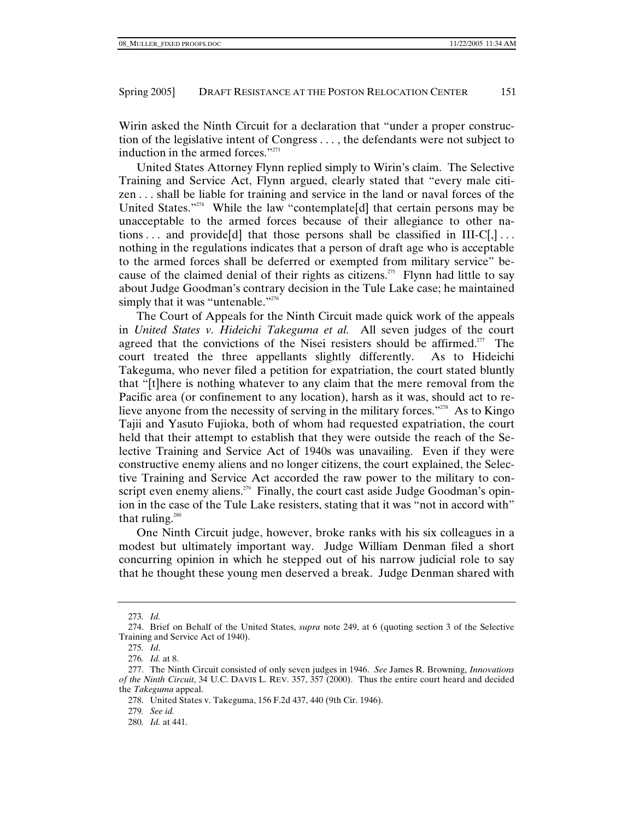Wirin asked the Ninth Circuit for a declaration that "under a proper construction of the legislative intent of Congress . . . , the defendants were not subject to induction in the armed forces."<sup>273</sup>

United States Attorney Flynn replied simply to Wirin's claim. The Selective Training and Service Act, Flynn argued, clearly stated that "every male citizen . . . shall be liable for training and service in the land or naval forces of the United States."<sup>274</sup> While the law "contemplate<sup>[d]</sup> that certain persons may be unacceptable to the armed forces because of their allegiance to other nations ... and provide [d] that those persons shall be classified in  $III-C[,]$ ... nothing in the regulations indicates that a person of draft age who is acceptable to the armed forces shall be deferred or exempted from military service" because of the claimed denial of their rights as citizens.<sup>275</sup> Flynn had little to say about Judge Goodman's contrary decision in the Tule Lake case; he maintained simply that it was "untenable."<sup>276</sup>

The Court of Appeals for the Ninth Circuit made quick work of the appeals in *United States v. Hideichi Takeguma et al.* All seven judges of the court agreed that the convictions of the Nisei resisters should be affirmed.<sup>277</sup> The court treated the three appellants slightly differently. As to Hideichi Takeguma, who never filed a petition for expatriation, the court stated bluntly that "[t]here is nothing whatever to any claim that the mere removal from the Pacific area (or confinement to any location), harsh as it was, should act to relieve anyone from the necessity of serving in the military forces."<sup>278</sup> As to Kingo Tajii and Yasuto Fujioka, both of whom had requested expatriation, the court held that their attempt to establish that they were outside the reach of the Selective Training and Service Act of 1940s was unavailing. Even if they were constructive enemy aliens and no longer citizens, the court explained, the Selective Training and Service Act accorded the raw power to the military to conscript even enemy aliens.<sup> $279$ </sup> Finally, the court cast aside Judge Goodman's opinion in the case of the Tule Lake resisters, stating that it was "not in accord with" that ruling. $280$ 

One Ninth Circuit judge, however, broke ranks with his six colleagues in a modest but ultimately important way. Judge William Denman filed a short concurring opinion in which he stepped out of his narrow judicial role to say that he thought these young men deserved a break. Judge Denman shared with

<sup>273</sup>*. Id.*

 <sup>274.</sup> Brief on Behalf of the United States, *supra* note 249, at 6 (quoting section 3 of the Selective Training and Service Act of 1940).

<sup>275</sup>*. Id*.

<sup>276</sup>*. Id.* at 8.

 <sup>277.</sup> The Ninth Circuit consisted of only seven judges in 1946. *See* James R. Browning, *Innovations of the Ninth Circuit*, 34 U.C. DAVIS L. REV. 357, 357 (2000). Thus the entire court heard and decided the *Takeguma* appeal.

 <sup>278.</sup> United States v. Takeguma, 156 F.2d 437, 440 (9th Cir. 1946).

<sup>279</sup>*. See id.*

<sup>280</sup>*. Id.* at 441.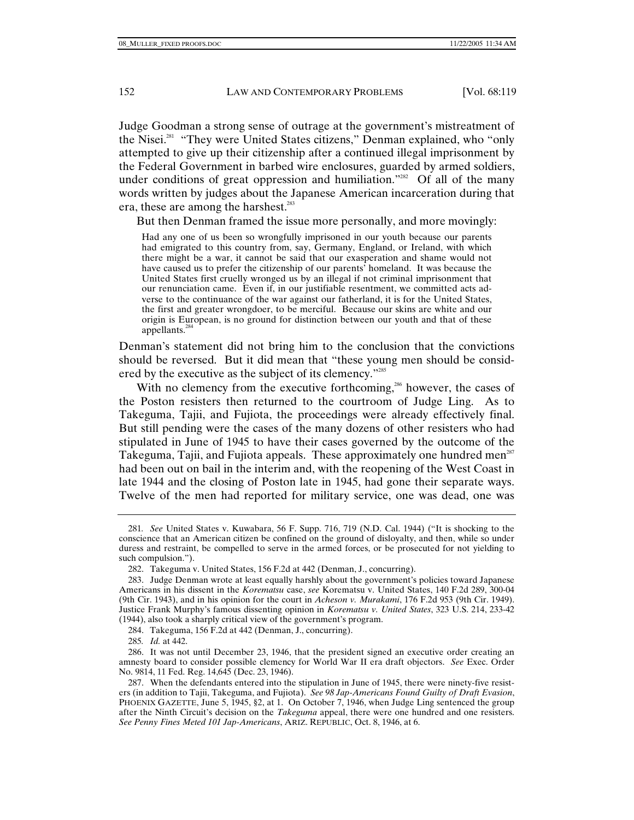Judge Goodman a strong sense of outrage at the government's mistreatment of the Nisei.<sup>281</sup> "They were United States citizens," Denman explained, who "only attempted to give up their citizenship after a continued illegal imprisonment by the Federal Government in barbed wire enclosures, guarded by armed soldiers, under conditions of great oppression and humiliation."<sup>282</sup> Of all of the many words written by judges about the Japanese American incarceration during that era, these are among the harshest.<sup>283</sup>

But then Denman framed the issue more personally, and more movingly:

Had any one of us been so wrongfully imprisoned in our youth because our parents had emigrated to this country from, say, Germany, England, or Ireland, with which there might be a war, it cannot be said that our exasperation and shame would not have caused us to prefer the citizenship of our parents' homeland. It was because the United States first cruelly wronged us by an illegal if not criminal imprisonment that our renunciation came. Even if, in our justifiable resentment, we committed acts adverse to the continuance of the war against our fatherland, it is for the United States, the first and greater wrongdoer, to be merciful. Because our skins are white and our origin is European, is no ground for distinction between our youth and that of these appellants.284

Denman's statement did not bring him to the conclusion that the convictions should be reversed. But it did mean that "these young men should be considered by the executive as the subject of its clemency."285

With no clemency from the executive forthcoming,<sup>266</sup> however, the cases of the Poston resisters then returned to the courtroom of Judge Ling. As to Takeguma, Tajii, and Fujiota, the proceedings were already effectively final. But still pending were the cases of the many dozens of other resisters who had stipulated in June of 1945 to have their cases governed by the outcome of the Takeguma, Tajii, and Fujiota appeals. These approximately one hundred men<sup>287</sup> had been out on bail in the interim and, with the reopening of the West Coast in late 1944 and the closing of Poston late in 1945, had gone their separate ways. Twelve of the men had reported for military service, one was dead, one was

284. Takeguma, 156 F.2d at 442 (Denman, J., concurring).

285*. Id.* at 442.

<sup>281</sup>*. See* United States v. Kuwabara, 56 F. Supp. 716, 719 (N.D. Cal. 1944) ("It is shocking to the conscience that an American citizen be confined on the ground of disloyalty, and then, while so under duress and restraint, be compelled to serve in the armed forces, or be prosecuted for not yielding to such compulsion.").

 <sup>282.</sup> Takeguma v. United States, 156 F.2d at 442 (Denman, J., concurring).

 <sup>283.</sup> Judge Denman wrote at least equally harshly about the government's policies toward Japanese Americans in his dissent in the *Korematsu* case, *see* Korematsu v. United States, 140 F.2d 289, 300-04 (9th Cir. 1943), and in his opinion for the court in *Acheson v. Murakami*, 176 F.2d 953 (9th Cir. 1949). Justice Frank Murphy's famous dissenting opinion in *Korematsu v. United States*, 323 U.S. 214, 233-42 (1944), also took a sharply critical view of the government's program.

 <sup>286.</sup> It was not until December 23, 1946, that the president signed an executive order creating an amnesty board to consider possible clemency for World War II era draft objectors. *See* Exec. Order No. 9814, 11 Fed. Reg. 14,645 (Dec. 23, 1946).

 <sup>287.</sup> When the defendants entered into the stipulation in June of 1945, there were ninety-five resisters (in addition to Tajii, Takeguma, and Fujiota). *See 98 Jap-Americans Found Guilty of Draft Evasion*, PHOENIX GAZETTE, June 5, 1945, §2, at 1. On October 7, 1946, when Judge Ling sentenced the group after the Ninth Circuit's decision on the *Takeguma* appeal, there were one hundred and one resisters. *See Penny Fines Meted 101 Jap-Americans*, ARIZ. REPUBLIC, Oct. 8, 1946, at 6.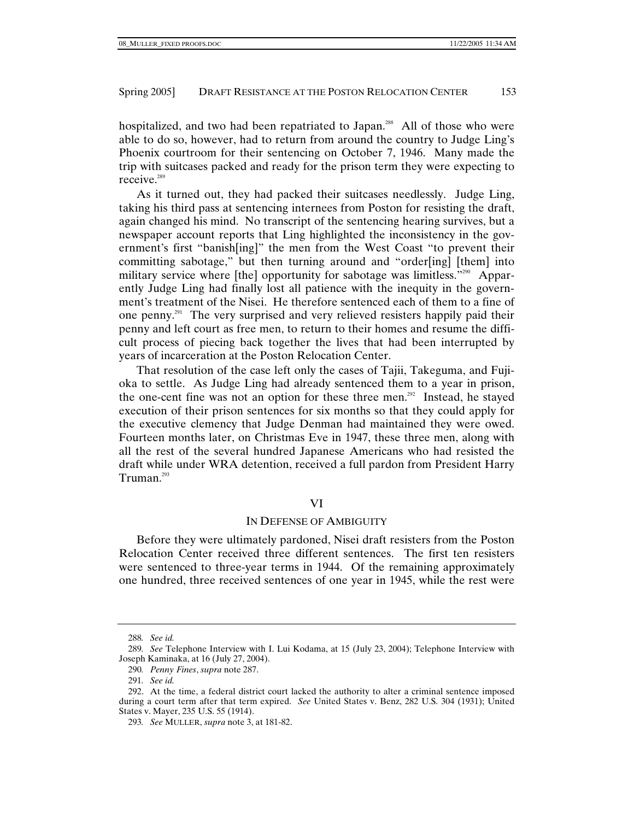hospitalized, and two had been repatriated to Japan.<sup>288</sup> All of those who were able to do so, however, had to return from around the country to Judge Ling's Phoenix courtroom for their sentencing on October 7, 1946. Many made the trip with suitcases packed and ready for the prison term they were expecting to receive.<sup>289</sup>

As it turned out, they had packed their suitcases needlessly. Judge Ling, taking his third pass at sentencing internees from Poston for resisting the draft, again changed his mind. No transcript of the sentencing hearing survives, but a newspaper account reports that Ling highlighted the inconsistency in the government's first "banish[ing]" the men from the West Coast "to prevent their committing sabotage," but then turning around and "order[ing] [them] into military service where [the] opportunity for sabotage was limitless."<sup>290</sup> Apparently Judge Ling had finally lost all patience with the inequity in the government's treatment of the Nisei. He therefore sentenced each of them to a fine of one penny.<sup>291</sup> The very surprised and very relieved resisters happily paid their penny and left court as free men, to return to their homes and resume the difficult process of piecing back together the lives that had been interrupted by years of incarceration at the Poston Relocation Center.

That resolution of the case left only the cases of Tajii, Takeguma, and Fujioka to settle. As Judge Ling had already sentenced them to a year in prison, the one-cent fine was not an option for these three men.<sup>292</sup> Instead, he stayed execution of their prison sentences for six months so that they could apply for the executive clemency that Judge Denman had maintained they were owed. Fourteen months later, on Christmas Eve in 1947, these three men, along with all the rest of the several hundred Japanese Americans who had resisted the draft while under WRA detention, received a full pardon from President Harry Truman.<sup>293</sup>

VI

#### IN DEFENSE OF AMBIGUITY

Before they were ultimately pardoned, Nisei draft resisters from the Poston Relocation Center received three different sentences. The first ten resisters were sentenced to three-year terms in 1944. Of the remaining approximately one hundred, three received sentences of one year in 1945, while the rest were

<sup>288</sup>*. See id.*

<sup>289</sup>*. See* Telephone Interview with I. Lui Kodama, at 15 (July 23, 2004); Telephone Interview with Joseph Kaminaka, at 16 (July 27, 2004).

<sup>290</sup>*. Penny Fines*, *supra* note 287.

<sup>291</sup>*. See id.*

 <sup>292.</sup> At the time, a federal district court lacked the authority to alter a criminal sentence imposed during a court term after that term expired. *See* United States v. Benz, 282 U.S. 304 (1931); United States v. Mayer, 235 U.S. 55 (1914).

<sup>293</sup>*. See* MULLER, *supra* note 3, at 181-82.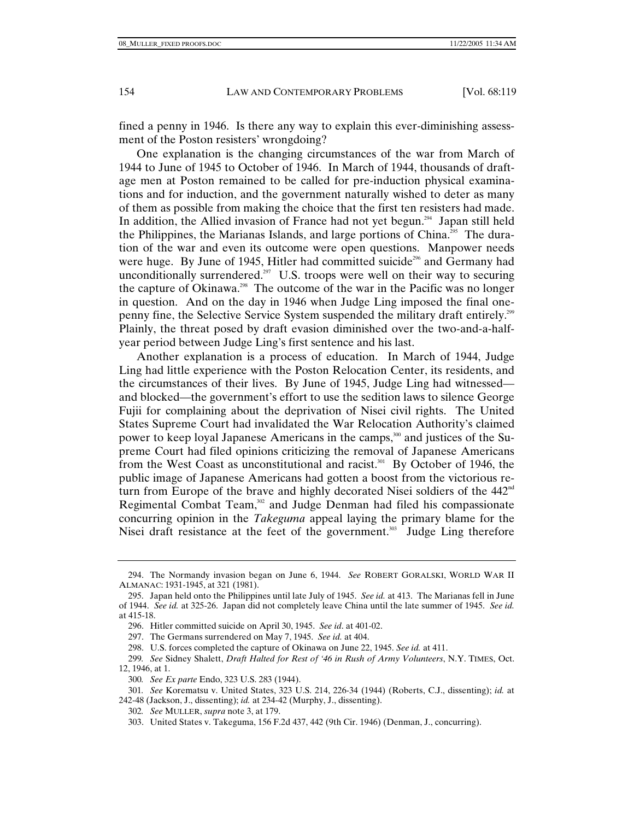fined a penny in 1946. Is there any way to explain this ever-diminishing assessment of the Poston resisters' wrongdoing?

One explanation is the changing circumstances of the war from March of 1944 to June of 1945 to October of 1946. In March of 1944, thousands of draftage men at Poston remained to be called for pre-induction physical examinations and for induction, and the government naturally wished to deter as many of them as possible from making the choice that the first ten resisters had made. In addition, the Allied invasion of France had not yet begun.<sup>294</sup> Japan still held the Philippines, the Marianas Islands, and large portions of China.<sup> $205$ </sup> The duration of the war and even its outcome were open questions. Manpower needs were huge. By June of 1945, Hitler had committed suicide<sup>296</sup> and Germany had unconditionally surrendered.<sup>297</sup> U.S. troops were well on their way to securing the capture of Okinawa.298 The outcome of the war in the Pacific was no longer in question. And on the day in 1946 when Judge Ling imposed the final onepenny fine, the Selective Service System suspended the military draft entirely.299 Plainly, the threat posed by draft evasion diminished over the two-and-a-halfyear period between Judge Ling's first sentence and his last.

Another explanation is a process of education. In March of 1944, Judge Ling had little experience with the Poston Relocation Center, its residents, and the circumstances of their lives. By June of 1945, Judge Ling had witnessed and blocked—the government's effort to use the sedition laws to silence George Fujii for complaining about the deprivation of Nisei civil rights. The United States Supreme Court had invalidated the War Relocation Authority's claimed power to keep loyal Japanese Americans in the camps,<sup>300</sup> and justices of the Supreme Court had filed opinions criticizing the removal of Japanese Americans from the West Coast as unconstitutional and racist.<sup>301</sup> By October of 1946, the public image of Japanese Americans had gotten a boost from the victorious return from Europe of the brave and highly decorated Nisei soldiers of the 442<sup>nd</sup> Regimental Combat Team,<sup>302</sup> and Judge Denman had filed his compassionate concurring opinion in the *Takeguma* appeal laying the primary blame for the Nisei draft resistance at the feet of the government. $303$  Judge Ling therefore

 <sup>294.</sup> The Normandy invasion began on June 6, 1944. *See* ROBERT GORALSKI, WORLD WAR II ALMANAC: 1931-1945, at 321 (1981).

 <sup>295.</sup> Japan held onto the Philippines until late July of 1945. *See id.* at 413. The Marianas fell in June of 1944. *See id.* at 325-26. Japan did not completely leave China until the late summer of 1945. *See id.* at 415-18.

 <sup>296.</sup> Hitler committed suicide on April 30, 1945. *See id*. at 401-02.

 <sup>297.</sup> The Germans surrendered on May 7, 1945. *See id.* at 404.

 <sup>298.</sup> U.S. forces completed the capture of Okinawa on June 22, 1945. *See id.* at 411.

<sup>299</sup>*. See* Sidney Shalett, *Draft Halted for Rest of '46 in Rush of Army Volunteers*, N.Y. TIMES, Oct. 12, 1946, at 1.

<sup>300</sup>*. See Ex parte* Endo, 323 U.S. 283 (1944).

<sup>301</sup>*. See* Korematsu v. United States, 323 U.S. 214, 226-34 (1944) (Roberts, C.J., dissenting); *id.* at 242-48 (Jackson, J., dissenting); *id.* at 234-42 (Murphy, J., dissenting).

<sup>302</sup>*. See* MULLER, *supra* note 3, at 179.

 <sup>303.</sup> United States v. Takeguma, 156 F.2d 437, 442 (9th Cir. 1946) (Denman, J., concurring).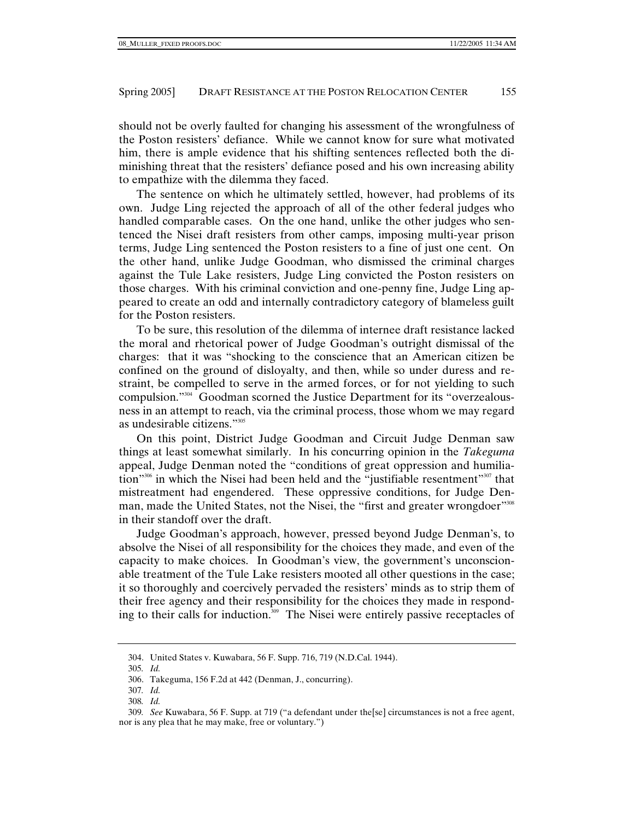should not be overly faulted for changing his assessment of the wrongfulness of the Poston resisters' defiance. While we cannot know for sure what motivated him, there is ample evidence that his shifting sentences reflected both the diminishing threat that the resisters' defiance posed and his own increasing ability to empathize with the dilemma they faced.

The sentence on which he ultimately settled, however, had problems of its own. Judge Ling rejected the approach of all of the other federal judges who handled comparable cases. On the one hand, unlike the other judges who sentenced the Nisei draft resisters from other camps, imposing multi-year prison terms, Judge Ling sentenced the Poston resisters to a fine of just one cent. On the other hand, unlike Judge Goodman, who dismissed the criminal charges against the Tule Lake resisters, Judge Ling convicted the Poston resisters on those charges. With his criminal conviction and one-penny fine, Judge Ling appeared to create an odd and internally contradictory category of blameless guilt for the Poston resisters.

To be sure, this resolution of the dilemma of internee draft resistance lacked the moral and rhetorical power of Judge Goodman's outright dismissal of the charges: that it was "shocking to the conscience that an American citizen be confined on the ground of disloyalty, and then, while so under duress and restraint, be compelled to serve in the armed forces, or for not yielding to such compulsion."304 Goodman scorned the Justice Department for its "overzealousness in an attempt to reach, via the criminal process, those whom we may regard as undesirable citizens."305

On this point, District Judge Goodman and Circuit Judge Denman saw things at least somewhat similarly. In his concurring opinion in the *Takeguma* appeal, Judge Denman noted the "conditions of great oppression and humiliation"<sup>306</sup> in which the Nisei had been held and the "justifiable resentment"<sup>307</sup> that mistreatment had engendered. These oppressive conditions, for Judge Denman, made the United States, not the Nisei, the "first and greater wrongdoer"<sup>308</sup> in their standoff over the draft.

Judge Goodman's approach, however, pressed beyond Judge Denman's, to absolve the Nisei of all responsibility for the choices they made, and even of the capacity to make choices. In Goodman's view, the government's unconscionable treatment of the Tule Lake resisters mooted all other questions in the case; it so thoroughly and coercively pervaded the resisters' minds as to strip them of their free agency and their responsibility for the choices they made in responding to their calls for induction.<sup>309</sup> The Nisei were entirely passive receptacles of

 <sup>304.</sup> United States v. Kuwabara, 56 F. Supp. 716, 719 (N.D.Cal. 1944).

<sup>305</sup>*. Id.*

 <sup>306.</sup> Takeguma, 156 F.2d at 442 (Denman, J., concurring).

<sup>307</sup>*. Id.*

<sup>308</sup>*. Id.*

<sup>309</sup>*. See* Kuwabara, 56 F. Supp. at 719 ("a defendant under the[se] circumstances is not a free agent, nor is any plea that he may make, free or voluntary.")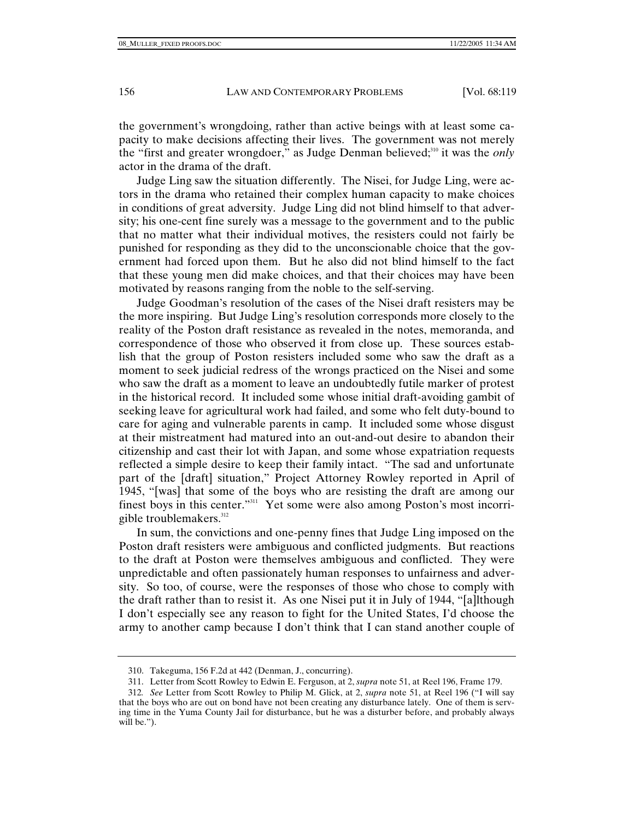the government's wrongdoing, rather than active beings with at least some capacity to make decisions affecting their lives. The government was not merely the "first and greater wrongdoer," as Judge Denman believed;<sup>310</sup> it was the *only* actor in the drama of the draft.

Judge Ling saw the situation differently. The Nisei, for Judge Ling, were actors in the drama who retained their complex human capacity to make choices in conditions of great adversity. Judge Ling did not blind himself to that adversity; his one-cent fine surely was a message to the government and to the public that no matter what their individual motives, the resisters could not fairly be punished for responding as they did to the unconscionable choice that the government had forced upon them. But he also did not blind himself to the fact that these young men did make choices, and that their choices may have been motivated by reasons ranging from the noble to the self-serving.

Judge Goodman's resolution of the cases of the Nisei draft resisters may be the more inspiring. But Judge Ling's resolution corresponds more closely to the reality of the Poston draft resistance as revealed in the notes, memoranda, and correspondence of those who observed it from close up. These sources establish that the group of Poston resisters included some who saw the draft as a moment to seek judicial redress of the wrongs practiced on the Nisei and some who saw the draft as a moment to leave an undoubtedly futile marker of protest in the historical record. It included some whose initial draft-avoiding gambit of seeking leave for agricultural work had failed, and some who felt duty-bound to care for aging and vulnerable parents in camp. It included some whose disgust at their mistreatment had matured into an out-and-out desire to abandon their citizenship and cast their lot with Japan, and some whose expatriation requests reflected a simple desire to keep their family intact. "The sad and unfortunate part of the [draft] situation," Project Attorney Rowley reported in April of 1945, "[was] that some of the boys who are resisting the draft are among our finest boys in this center."<sup>311</sup> Yet some were also among Poston's most incorrigible troublemakers.<sup>312</sup>

In sum, the convictions and one-penny fines that Judge Ling imposed on the Poston draft resisters were ambiguous and conflicted judgments. But reactions to the draft at Poston were themselves ambiguous and conflicted. They were unpredictable and often passionately human responses to unfairness and adversity. So too, of course, were the responses of those who chose to comply with the draft rather than to resist it. As one Nisei put it in July of 1944, "[a]lthough I don't especially see any reason to fight for the United States, I'd choose the army to another camp because I don't think that I can stand another couple of

 <sup>310.</sup> Takeguma, 156 F.2d at 442 (Denman, J., concurring).

 <sup>311.</sup> Letter from Scott Rowley to Edwin E. Ferguson, at 2, *supra* note 51, at Reel 196, Frame 179.

<sup>312</sup>*. See* Letter from Scott Rowley to Philip M. Glick, at 2, *supra* note 51, at Reel 196 ("I will say that the boys who are out on bond have not been creating any disturbance lately. One of them is serving time in the Yuma County Jail for disturbance, but he was a disturber before, and probably always will be.").